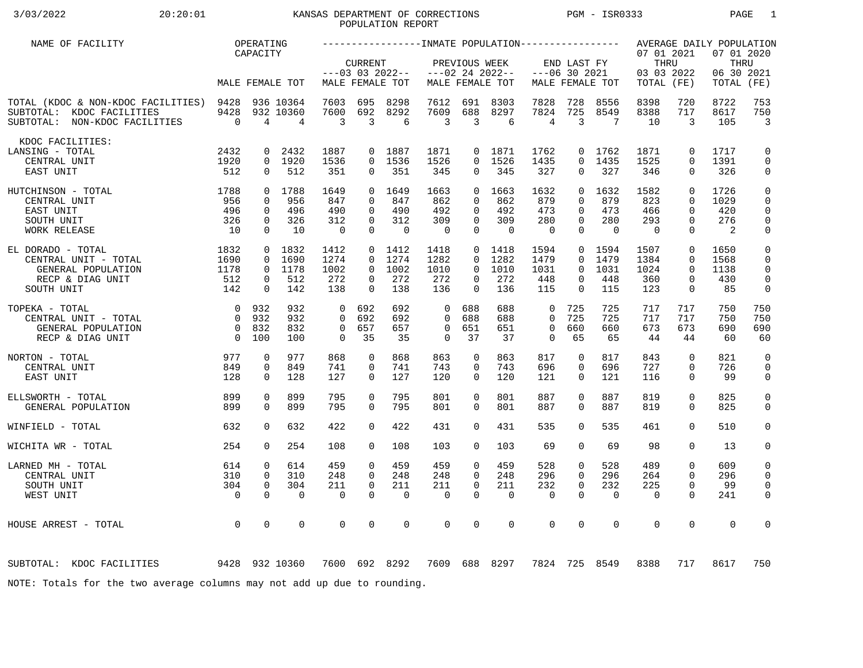## 3/03/2022 20:20:01 KANSAS DEPARTMENT OF CORRECTIONS PGM - ISR0333 PAGE 1 POPULATION REPORT

| NAME OF FACILITY                                                                                      |                                  | OPERATING               |                             |                      |                      |                                      |                      |                              |                                      |                         |                                |                   |                                                |                            | AVERAGE DAILY POPULATION                  |                              |
|-------------------------------------------------------------------------------------------------------|----------------------------------|-------------------------|-----------------------------|----------------------|----------------------|--------------------------------------|----------------------|------------------------------|--------------------------------------|-------------------------|--------------------------------|-------------------|------------------------------------------------|----------------------------|-------------------------------------------|------------------------------|
|                                                                                                       |                                  | CAPACITY                | MALE FEMALE TOT             |                      | <b>CURRENT</b>       | $---03$ 03 2022--<br>MALE FEMALE TOT |                      | PREVIOUS WEEK                | $---02$ 24 2022--<br>MALE FEMALE TOT |                         | END LAST FY<br>$---06$ 30 2021 | MALE FEMALE TOT   | 07 01 2021<br>THRU<br>03 03 2022<br>TOTAL (FE) |                            | 07 01 2020<br>THRU<br>06 30 2021<br>TOTAL | (FE)                         |
|                                                                                                       |                                  |                         |                             |                      |                      |                                      |                      |                              |                                      |                         |                                |                   |                                                |                            |                                           |                              |
| TOTAL (KDOC & NON-KDOC FACILITIES) 9428<br>SUBTOTAL: KDOC FACILITIES<br>SUBTOTAL: NON-KDOC FACILITIES | 9428<br>$\overline{0}$           | 4                       | 936 10364<br>932 10360<br>4 | 7603<br>7600<br>3    | 695<br>692<br>3      | 8298<br>8292<br>6                    | 7612<br>7609<br>3    | 691<br>688<br>$\overline{3}$ | 8303<br>8297<br>6                    | 7828<br>7824<br>4       | 728<br>725<br>3                | 8556<br>8549<br>7 | 8398<br>8388<br>10                             | 720<br>717<br>3            | 8722<br>8617<br>105                       | 753<br>750<br>$\overline{3}$ |
| KDOC FACILITIES:                                                                                      |                                  |                         |                             |                      |                      |                                      |                      |                              |                                      |                         |                                |                   |                                                |                            |                                           |                              |
| LANSING - TOTAL                                                                                       | 2432                             | 0                       | 2432                        | 1887                 | $\overline{0}$       | 1887                                 | 1871                 |                              | 0 1871                               | 1762                    | 0                              | 1762              | 1871                                           | $\mathbf 0$                | 1717                                      | 0                            |
| CENTRAL UNIT<br>EAST UNIT                                                                             | 1920<br>512                      | $\mathbf 0$             | 0 1920<br>512               | 1536<br>351          | $\Omega$<br>0        | 1536<br>351                          | 1526<br>345          | $\Omega$<br>$\overline{0}$   | 1526<br>345                          | 1435<br>327             | $\Omega$<br>0                  | 1435<br>327       | 1525<br>346                                    | $\Omega$<br>$\mathbf 0$    | 1391<br>326                               | $\mathbf 0$<br>0             |
| 1788<br>HUTCHINSON - TOTAL                                                                            |                                  |                         | 0 1788                      | 1649                 | $\Omega$             | 1649                                 | 1663                 | $\Omega$                     | 1663                                 | 1632                    | $\Omega$                       | 1632              | 1582                                           | $\Omega$                   | 1726                                      | $\mathsf 0$                  |
| CENTRAL UNIT                                                                                          | 956                              | $\Omega$                | 956                         | 847                  | $\Omega$             | 847                                  | 862                  | $\Omega$                     | 862                                  | 879                     | $\Omega$                       | 879               | 823                                            | $\Omega$                   | 1029                                      | 0                            |
| EAST UNIT<br>SOUTH UNIT                                                                               | 496<br>326                       | $\Omega$<br>$\mathbf 0$ | 496<br>326                  | 490<br>312           | $\Omega$<br>$\Omega$ | 490<br>312                           | 492<br>309           | $\Omega$<br>$\mathbf 0$      | 492<br>309                           | 473<br>280              | $\Omega$<br>$\Omega$           | 473<br>280        | 466<br>293                                     | $\Omega$<br>$\Omega$       | 420<br>276                                | 0<br>$\mathbf 0$             |
| WORK RELEASE                                                                                          | 10                               | $\Omega$                | 10                          | $\overline{0}$       | $\Omega$             | $\Omega$                             | $\overline{0}$       | $\Omega$                     | $\Omega$                             | $\Omega$                | $\Omega$                       | $\Omega$          | $\Omega$                                       | $\Omega$                   | 2                                         | $\mathsf 0$                  |
| EL DORADO - TOTAL                                                                                     | 1832                             |                         | 0 1832                      | 1412                 |                      | $0$ 1412                             | 1418                 |                              | $0$ 1418                             | 1594                    | $\overline{0}$                 | 1594              | 1507                                           | $\mathbf 0$                | 1650                                      | $\mathbf 0$                  |
| CENTRAL UNIT - TOTAL                                                                                  | 1690                             | $\Omega$                | 1690                        | 1274                 | $\Omega$             | 1274                                 | 1282                 | $\Omega$                     | 1282                                 | 1479                    | $\Omega$                       | 1479              | 1384                                           | $\Omega$                   | 1568                                      | $\mathbf 0$                  |
| GENERAL POPULATION                                                                                    | 1178                             | $\overline{0}$          | 1178                        | 1002                 | $\Omega$             | 1002                                 | 1010                 | $\Omega$                     | 1010                                 | 1031                    | $\Omega$                       | 1031              | 1024                                           | $\Omega$                   | 1138                                      | $\mathbf 0$                  |
| RECP & DIAG UNIT<br>SOUTH UNIT                                                                        | 512<br>142                       | $\mathbf 0$<br>$\Omega$ | 512<br>142                  | 272<br>138           | $\Omega$<br>$\Omega$ | 272<br>138                           | 272<br>136           | 0<br>$\Omega$                | 272<br>136                           | 448<br>115              | 0<br>$\Omega$                  | 448<br>115        | 360<br>123                                     | $\mathbf 0$<br>$\mathbf 0$ | 430<br>85                                 | $\mathbf 0$<br>0             |
|                                                                                                       |                                  |                         |                             |                      |                      |                                      |                      |                              |                                      |                         |                                |                   |                                                |                            |                                           |                              |
| TOPEKA - TOTAL<br>CENTRAL UNIT - TOTAL                                                                | $\overline{0}$<br>$\overline{0}$ | 932<br>932              | 932<br>932                  | $\Omega$<br>$\Omega$ | 692<br>692           | 692<br>692                           | $\Omega$<br>$\Omega$ | 688<br>688                   | 688<br>688                           | $\mathbf 0$<br>$\Omega$ | 725<br>725                     | 725<br>725        | 717<br>717                                     | 717<br>717                 | 750<br>750                                | 750<br>750                   |
| GENERAL POPULATION                                                                                    | $\overline{0}$                   | 832                     | 832                         | $\mathbf 0$          | 657                  | 657                                  | $\mathbf 0$          | 651                          | 651                                  | $\mathbf 0$             | 660                            | 660               | 673                                            | 673                        | 690                                       | 690                          |
| RECP & DIAG UNIT                                                                                      | $\overline{0}$                   | 100                     | 100                         | 0                    | 35                   | 35                                   | $\mathbf 0$          | 37                           | 37                                   | $\Omega$                | 65                             | 65                | 44                                             | 44                         | 60                                        | 60                           |
| NORTON - TOTAL                                                                                        | 977                              | 0                       | 977                         | 868                  | $\mathbf 0$          | 868                                  | 863                  | 0                            | 863                                  | 817                     | 0                              | 817               | 843                                            | $\mathbf 0$                | 821                                       | $\mathbf 0$                  |
| CENTRAL UNIT                                                                                          | 849                              | $\mathbf 0$             | 849                         | 741                  | 0                    | 741                                  | 743                  | 0                            | 743                                  | 696                     | 0                              | 696               | 727                                            | $\mathbf 0$                | 726                                       | 0                            |
| EAST UNIT                                                                                             | 128                              | $\Omega$                | 128                         | 127                  | $\Omega$             | 127                                  | 120                  | $\Omega$                     | 120                                  | 121                     | $\Omega$                       | 121               | 116                                            | $\Omega$                   | 99                                        | 0                            |
| ELLSWORTH - TOTAL                                                                                     | 899                              | $\Omega$                | 899                         | 795                  | $\Omega$             | 795                                  | 801                  | $\Omega$                     | 801                                  | 887                     | $\Omega$                       | 887               | 819                                            | $\Omega$                   | 825                                       | $\mathsf{O}$                 |
| GENERAL POPULATION                                                                                    | 899                              | $\Omega$                | 899                         | 795                  | $\Omega$             | 795                                  | 801                  | $\Omega$                     | 801                                  | 887                     | $\Omega$                       | 887               | 819                                            | $\Omega$                   | 825                                       | $\mathbf 0$                  |
| WINFIELD - TOTAL                                                                                      | 632                              | $\Omega$                | 632                         | 422                  | $\Omega$             | 422                                  | 431                  | $\Omega$                     | 431                                  | 535                     | $\Omega$                       | 535               | 461                                            | $\Omega$                   | 510                                       | $\mathbf 0$                  |
| WICHITA WR - TOTAL                                                                                    | 254                              | $\Omega$                | 254                         | 108                  | $\Omega$             | 108                                  | 103                  | $\Omega$                     | 103                                  | 69                      | $\Omega$                       | 69                | 98                                             | $\Omega$                   | 13                                        | 0                            |
| LARNED MH - TOTAL                                                                                     | 614                              | $\mathbf 0$             | 614                         | 459                  | $\Omega$             | 459                                  | 459                  | $\mathbf 0$                  | 459                                  | 528                     | 0                              | 528               | 489                                            | $\mathbf 0$                | 609                                       | 0                            |
| CENTRAL UNIT                                                                                          | 310                              | $\mathbf 0$             | 310                         | 248                  | $\Omega$             | 248                                  | 248                  | $\Omega$                     | 248                                  | 296                     | $\Omega$                       | 296               | 264                                            | $\Omega$                   | 296                                       | 0                            |
| SOUTH UNIT                                                                                            | 304                              | $\mathbf 0$             | 304                         | 211                  | $\mathbf 0$          | 211                                  | 211                  | $\mathbf 0$                  | 211                                  | 232                     | 0                              | 232               | 225                                            | $\mathbf 0$                | 99                                        | $\mathbf 0$                  |
| WEST UNIT                                                                                             | $\overline{0}$                   | $\Omega$                | $\Omega$                    | $\Omega$             | $\Omega$             | $\mathbf 0$                          | $\mathbf 0$          | $\Omega$                     | $\Omega$                             | $\mathbf 0$             | $\Omega$                       | $\mathbf 0$       | $\mathbf 0$                                    | $\Omega$                   | 241                                       | 0                            |
| HOUSE ARREST - TOTAL                                                                                  | $\overline{0}$                   | $\mathbf 0$             | 0                           | 0                    | 0                    | $\mathbf 0$                          | $\mathbf 0$          | $\mathbf 0$                  | $\mathbf 0$                          | $\mathbf 0$             | 0                              | $\mathbf 0$       | $\mathbf 0$                                    | $\mathbf 0$                | $\mathbf 0$                               | 0                            |
|                                                                                                       |                                  |                         |                             |                      |                      |                                      |                      |                              |                                      |                         |                                |                   |                                                |                            |                                           |                              |
| 9428 932 10360<br>SUBTOTAL: KDOC FACILITIES                                                           |                                  |                         |                             |                      |                      | 7600 692 8292                        |                      |                              | 7609 688 8297                        | 7824                    |                                | 725 8549          | 8388                                           | 717                        | 8617                                      | 750                          |
| NOTE: Totals for the two average columns may not add up due to rounding.                              |                                  |                         |                             |                      |                      |                                      |                      |                              |                                      |                         |                                |                   |                                                |                            |                                           |                              |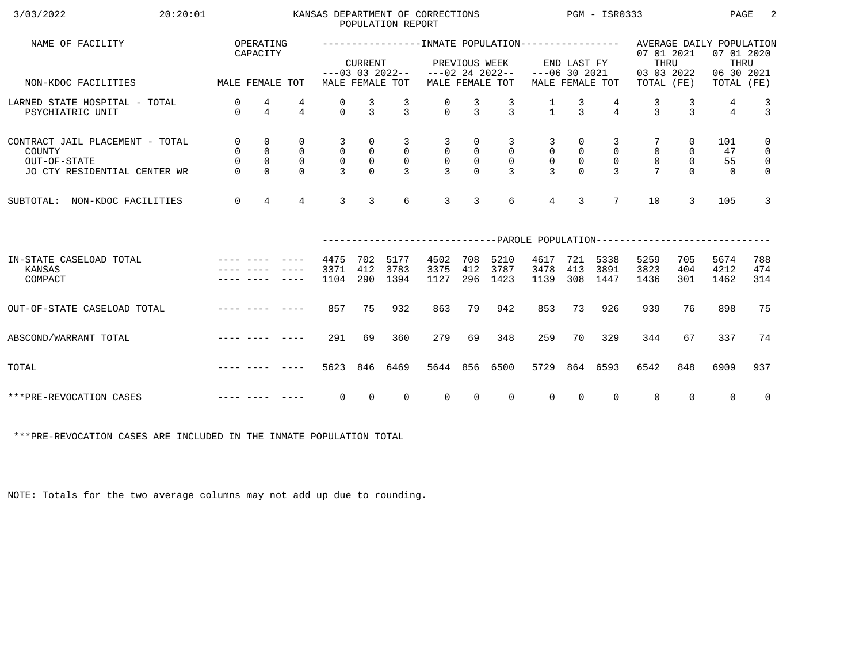| 3/03/2022<br>20:20:01                                                                     |                                                                                                                                                                                                                                |                                                               |                                                        |                                                                   |                                                             | POPULATION REPORT                                                   | KANSAS DEPARTMENT OF CORRECTIONS                                     |                                                     |                                                                    |                                                  |                                                                 | $PGM - ISR0333$                                       |                                                                           |                               | PAGE                        | -2                                                                    |
|-------------------------------------------------------------------------------------------|--------------------------------------------------------------------------------------------------------------------------------------------------------------------------------------------------------------------------------|---------------------------------------------------------------|--------------------------------------------------------|-------------------------------------------------------------------|-------------------------------------------------------------|---------------------------------------------------------------------|----------------------------------------------------------------------|-----------------------------------------------------|--------------------------------------------------------------------|--------------------------------------------------|-----------------------------------------------------------------|-------------------------------------------------------|---------------------------------------------------------------------------|-------------------------------|-----------------------------|-----------------------------------------------------------------------|
| NAME OF FACILITY                                                                          |                                                                                                                                                                                                                                | OPERATING<br>CAPACITY                                         |                                                        |                                                                   | <b>CURRENT</b>                                              |                                                                     |                                                                      |                                                     | PREVIOUS WEEK                                                      |                                                  | END LAST FY                                                     |                                                       | 07 01 2021<br>THRU                                                        |                               | 07 01 2020<br>THRU          |                                                                       |
| MALE FEMALE TOT<br>NON-KDOC FACILITIES                                                    |                                                                                                                                                                                                                                |                                                               |                                                        |                                                                   |                                                             | MALE FEMALE TOT                                                     | $---03$ 03 2022-- $---02$ 24 2022--                                  |                                                     | MALE FEMALE TOT                                                    | $---06$ 30 2021                                  |                                                                 | MALE FEMALE TOT                                       | 03 03 2022<br>TOTAL (FE)                                                  |                               | 06 30 2021<br>TOTAL (FE)    |                                                                       |
| LARNED STATE HOSPITAL - TOTAL<br>PSYCHIATRIC UNIT                                         | 0<br>$\Omega$                                                                                                                                                                                                                  | 4<br>$\overline{4}$                                           | 4<br>$\overline{4}$                                    | 0<br>$\Omega$                                                     | $\frac{3}{3}$                                               | $\frac{3}{3}$                                                       | $\frac{0}{0}$                                                        | $\frac{3}{3}$                                       | $\frac{3}{3}$                                                      | $\frac{1}{1}$                                    | $\frac{3}{3}$                                                   | $\overline{4}$                                        | $\frac{3}{3}$                                                             | $\frac{3}{3}$                 | 4<br>$\overline{4}$         | $\frac{3}{3}$                                                         |
| CONTRACT JAIL PLACEMENT - TOTAL<br>COUNTY<br>OUT-OF-STATE<br>JO CTY RESIDENTIAL CENTER WR | $\mathsf{O}$<br>$\mathsf{O}$<br>$\mathsf{O}\xspace$<br>$\Omega$                                                                                                                                                                | $\mathbf 0$<br>$\mathsf 0$<br>$\mathsf{O}\xspace$<br>$\Omega$ | $\mathbf 0$<br>$\mathsf{O}$<br>$\mathbf 0$<br>$\Omega$ | $\overline{3}$<br>$\overline{0}$<br>$\mathsf{O}$<br>$\mathcal{L}$ | 0<br>$\begin{smallmatrix}0\\0\end{smallmatrix}$<br>$\Omega$ | $\overline{3}$<br>$\overline{0}$<br>$\overline{0}$<br>$\mathcal{E}$ | $\overline{\mathbf{3}}$<br>$\begin{matrix} 0 \\ 0 \\ 3 \end{matrix}$ | 0<br>$\mathsf 0$<br>$\mathsf{O}\xspace$<br>$\Omega$ | $\overline{3}$<br>$\overline{0}$<br>$\overline{0}$<br>$\mathbf{3}$ | 3<br>$\mathsf 0$<br>$\mathsf{O}$<br>$\mathbf{R}$ | $\overline{0}$<br>$\begin{smallmatrix}0\\0\\0\end{smallmatrix}$ | 3<br>$\overline{0}$<br>$\overline{0}$<br>$\mathbf{R}$ | $\mathsf{O}\xspace$<br>$\overline{0}$<br>$\overline{7}$                   | 0<br>$\mathsf{O}$<br>$\Omega$ | 101<br>47<br>55<br>$\Omega$ | $\mathsf{O}$<br>$\overline{0}$<br>$\overline{\mathbf{0}}$<br>$\Omega$ |
| SUBTOTAL: NON-KDOC FACILITIES                                                             | $\overline{0}$                                                                                                                                                                                                                 | $\overline{4}$                                                | $\overline{4}$                                         | 3                                                                 | $\overline{3}$                                              | 6                                                                   | 3                                                                    | 3                                                   | 6                                                                  | $\overline{4}$                                   | $\overline{3}$                                                  | $7\overline{ }$                                       | 10                                                                        | 3                             | 105                         | $\mathbf{3}$                                                          |
|                                                                                           |                                                                                                                                                                                                                                |                                                               |                                                        |                                                                   |                                                             |                                                                     |                                                                      |                                                     |                                                                    |                                                  |                                                                 |                                                       | ------------------------------PAROLE POPULATION-------------------------- |                               |                             |                                                                       |
| IN-STATE CASELOAD TOTAL<br>KANSAS<br>COMPACT                                              |                                                                                                                                                                                                                                |                                                               |                                                        | 4475<br>3371<br>1104                                              | 702<br>412<br>290                                           | 5177<br>3783<br>1394                                                | 4502<br>3375<br>1127                                                 | 708<br>412<br>296                                   | 5210<br>3787<br>1423                                               | 4617<br>3478<br>1139                             | 721<br>413                                                      | 5338<br>3891<br>308 1447                              | 5259<br>3823<br>1436                                                      | 705<br>404<br>301             | 5674<br>4212<br>1462        | 788<br>474<br>314                                                     |
| OUT-OF-STATE CASELOAD TOTAL                                                               | and the company of the second second and the second second and the second second and second and second and second and second and second and second and second and second and second and second and second and second and secon |                                                               |                                                        | 857                                                               | 75                                                          | 932                                                                 | 863                                                                  | 79                                                  | 942                                                                | 853                                              | 73                                                              | 926                                                   | 939                                                                       | 76                            | 898                         | 75                                                                    |
| ABSCOND/WARRANT TOTAL                                                                     |                                                                                                                                                                                                                                |                                                               |                                                        | 291                                                               | 69                                                          | 360                                                                 | 279                                                                  | 69                                                  | 348                                                                | 259                                              | 70                                                              | 329                                                   | 344                                                                       | 67                            | 337                         | 74                                                                    |
| TOTAL                                                                                     |                                                                                                                                                                                                                                |                                                               |                                                        | 5623                                                              | 846                                                         | 6469                                                                | 5644                                                                 | 856                                                 | 6500                                                               | 5729                                             |                                                                 | 864 6593                                              | 6542                                                                      | 848                           | 6909                        | 937                                                                   |
| ***PRE-REVOCATION CASES                                                                   |                                                                                                                                                                                                                                |                                                               |                                                        | $\overline{0}$                                                    | $\overline{0}$                                              | $\Omega$                                                            | $\overline{0}$                                                       | $\overline{0}$                                      | $\Omega$                                                           | $\overline{0}$                                   | $\overline{0}$                                                  | $\mathbf{0}$                                          | $\overline{0}$                                                            | $\Omega$                      | $\Omega$                    | $\overline{0}$                                                        |

\*\*\*PRE-REVOCATION CASES ARE INCLUDED IN THE INMATE POPULATION TOTAL

NOTE: Totals for the two average columns may not add up due to rounding.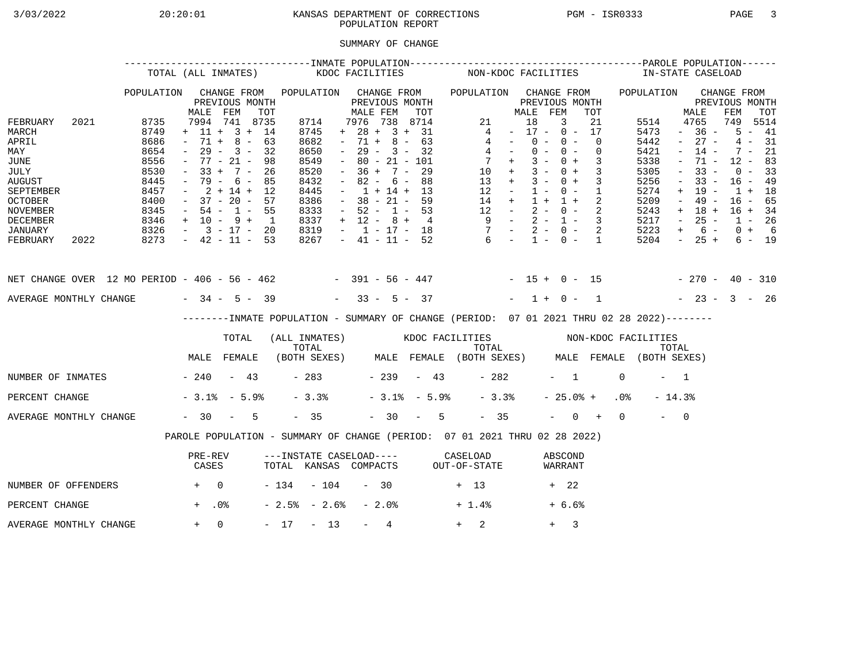# 3/03/2022 20:20:01 KANSAS DEPARTMENT OF CORRECTIONS PGM - ISR0333 PAGE 3 POPULATION REPORT

## SUMMARY OF CHANGE

|                                                                                                                                              |  | TOTAL (ALL INMATES)                                                                  |                                        |                                                                                                                                                                               |                                          |                                                                                                                               | KDOC FACILITIES |                                                       |                                                                                                                                                    |       |                                | NON-KDOC FACILITIES                                          |                                                                                  |                                   |                                                          |                     |                                                                                                                                                   |           |                                                                                      |                                                                                                                        | IN-STATE CASELOAD                                                                                       |                    |                                                                                                              |               |
|----------------------------------------------------------------------------------------------------------------------------------------------|--|--------------------------------------------------------------------------------------|----------------------------------------|-------------------------------------------------------------------------------------------------------------------------------------------------------------------------------|------------------------------------------|-------------------------------------------------------------------------------------------------------------------------------|-----------------|-------------------------------------------------------|----------------------------------------------------------------------------------------------------------------------------------------------------|-------|--------------------------------|--------------------------------------------------------------|----------------------------------------------------------------------------------|-----------------------------------|----------------------------------------------------------|---------------------|---------------------------------------------------------------------------------------------------------------------------------------------------|-----------|--------------------------------------------------------------------------------------|------------------------------------------------------------------------------------------------------------------------|---------------------------------------------------------------------------------------------------------|--------------------|--------------------------------------------------------------------------------------------------------------|---------------|
|                                                                                                                                              |  | POPULATION                                                                           | MALE                                   | CHANGE FROM<br>PREVIOUS MONTH<br>FEM                                                                                                                                          | TOT                                      | POPULATION CHANGE FROM                                                                                                        |                 |                                                       | PREVIOUS MONTH<br>MALE FEM                                                                                                                         |       | TOT                            | POPULATION CHANGE FROM                                       |                                                                                  |                                   | MALE FEM                                                 |                     | PREVIOUS MONTH<br>TOT                                                                                                                             |           | POPULATION                                                                           |                                                                                                                        | PREVIOUS MONTH<br>MALE                                                                                  | CHANGE FROM<br>FEM |                                                                                                              | TOT           |
| FEBRUARY<br>2021<br>MARCH<br>APRIL<br>MAY<br>JUNE<br>JULY<br>AUGUST<br>SEPTEMBER<br><b>OCTOBER</b><br><b>NOVEMBER</b><br><b>DECEMBER</b>     |  | 8735<br>8749<br>8686<br>8654<br>8556<br>8530<br>8445<br>8457<br>8400<br>8345<br>8346 | $\sim$<br>$-33 +$<br>$\sim$ 100 $\sim$ | 7994 741 8735<br>$+ 11 + 3 + 14$<br>$-71 + 8 - 63$<br>$29 - 3 -$<br>$-77 - 21 -$<br>$7 -$<br>- 79 - 6 -<br>$2 + 14 + 12$<br>$-37 - 20 - 57$<br>$-54 - 1 - 55$<br>$+$ 10 - 9 + | 32<br>- 98<br>26<br>85<br>$\overline{1}$ | 8714<br>8745<br>8682<br>8650<br>8549<br>8520<br>8432<br>8445<br>8386<br>8333<br>8337                                          | $\equiv$        | $+ 28 +$<br>$-71 +$<br>$\sim$<br>$  \,$<br>$\sim$ $-$ | 7976 738 8714<br>$29 -$<br>$80 - 21 - 101$<br>$36 + 7 -$<br>$82 - 6 - 88$<br>$-1 + 14 + 13$<br>$-38 - 21 - 59$<br>$-52 - 1 - 53$<br>$+ 12 - 8 + 4$ | $3 -$ | 3 + 31<br>$8 - 63$<br>32<br>29 |                                                              | 21<br>4<br>4<br>$4 -$<br>$10 +$<br>$13 +$<br>$12 -$<br>$14 +$<br>$12 -$<br>$9 -$ | <b>Contract Contract</b><br>$7 +$ | 18<br>$0 -$<br>$0 -$<br>$3 -$<br>$3 -$<br>$3 -$<br>$1 +$ | 3<br>$0 -$<br>$0 -$ | 21<br>$-17 - 0 - 17$<br>$\overline{0}$<br>$\overline{0}$<br>$0 + 3$<br>$0 + 3$<br>$0 + 3$<br>$1 - 0 - 1$<br>$1 + 2$<br>$2 - 0 - 2$<br>$2 - 1 - 3$ |           | 5514<br>5473<br>5442<br>5421<br>5338<br>5305<br>5256<br>5274<br>5209<br>5243<br>5217 | $\sim$<br>$\equiv$<br>$\overline{\phantom{a}}$<br>$\overline{\phantom{a}}$<br>$\sim$<br>$+$<br>$\sim$<br>$+$<br>$\sim$ | 4765<br>$-36 -$<br>$27 -$<br>$14 -$<br>$71 -$<br>$33 -$<br>$33 -$<br>19 -<br>$49 -$<br>$18 +$<br>$25 -$ | 749<br>4           | $5 - 41$<br>$7 - 21$<br>$12 - 83$<br>$0 - 33$<br>$16 - 49$<br>$1 + 18$<br>$16 - 65$<br>$16 + 34$<br>$1 - 26$ | 5514<br>$-31$ |
| JANUARY<br>FEBRUARY<br>2022                                                                                                                  |  | $8326 - 3 - 17 - 20$<br>$8273 - 42 - 11 - 53$                                        |                                        |                                                                                                                                                                               |                                          | 8319<br>8267                                                                                                                  |                 |                                                       |                                                                                                                                                    |       |                                | $-1 - 17 - 18$ $-2 - 0 - 2$<br>$-41 - 11 - 52$ 6 - 1 - 0 - 1 |                                                                                  |                                   |                                                          |                     |                                                                                                                                                   |           | 5223<br>5204                                                                         | $+$                                                                                                                    | $6 -$<br>$-25+$                                                                                         |                    | $0 + 6$                                                                                                      | $6 - 19$      |
| NET CHANGE OVER 12 MO PERIOD - 406 - 56 - 462 - - 391 - 56 - 447 - - 15 + 0 - 15 - - 270 - 40 - 310<br>AVERAGE MONTHLY CHANGE $-34 - 5 - 39$ |  |                                                                                      |                                        |                                                                                                                                                                               |                                          |                                                                                                                               |                 |                                                       | $-33 - 5 - 37$                                                                                                                                     |       |                                |                                                              |                                                                                  |                                   |                                                          |                     | $-1+0-1$                                                                                                                                          |           | $-23 - 3 - 26$                                                                       |                                                                                                                        |                                                                                                         |                    |                                                                                                              |               |
|                                                                                                                                              |  |                                                                                      |                                        |                                                                                                                                                                               |                                          |                                                                                                                               |                 |                                                       |                                                                                                                                                    |       |                                |                                                              |                                                                                  |                                   |                                                          |                     |                                                                                                                                                   |           |                                                                                      |                                                                                                                        |                                                                                                         |                    |                                                                                                              |               |
|                                                                                                                                              |  |                                                                                      |                                        | --------INMATE POPULATION - SUMMARY OF CHANGE (PERIOD: 07 01 2021 THRU 02 28 2022)--------                                                                                    |                                          |                                                                                                                               |                 |                                                       |                                                                                                                                                    |       |                                |                                                              |                                                                                  |                                   |                                                          |                     |                                                                                                                                                   |           |                                                                                      |                                                                                                                        |                                                                                                         |                    |                                                                                                              |               |
|                                                                                                                                              |  |                                                                                      |                                        | TOTAL<br>MALE FEMALE                                                                                                                                                          |                                          | (ALL INMATES) KDOC FACILITIES NON-KDOC FACILITIES<br>TOTAL TOTAL TOTAL TOTAL TOTAL TOTAL TOTAL TOTAL TOTAL TOTAL (BOTH SEXES) |                 |                                                       |                                                                                                                                                    |       |                                |                                                              |                                                                                  |                                   |                                                          |                     |                                                                                                                                                   |           |                                                                                      |                                                                                                                        |                                                                                                         |                    |                                                                                                              |               |
| NUMBER OF INMATES - 240 - 43                                                                                                                 |  |                                                                                      |                                        |                                                                                                                                                                               |                                          |                                                                                                                               |                 |                                                       |                                                                                                                                                    |       | $-283 -239 -43$                |                                                              | $-282$                                                                           |                                   |                                                          | $-1$                |                                                                                                                                                   | $\Omega$  |                                                                                      | $-1$                                                                                                                   |                                                                                                         |                    |                                                                                                              |               |
| PERCENT CHANGE                                                                                                                               |  |                                                                                      |                                        | $-3.1$ $-5.9$                                                                                                                                                                 |                                          | $-3.3%$                                                                                                                       |                 |                                                       |                                                                                                                                                    |       | $-3.1$ % $-5.9$ %              |                                                              | $-3.3%$                                                                          |                                   |                                                          |                     | $-25.0%$ +                                                                                                                                        | $.0\%$    |                                                                                      | $-14.3%$                                                                                                               |                                                                                                         |                    |                                                                                                              |               |
| AVERAGE MONTHLY CHANGE                                                                                                                       |  |                                                                                      |                                        | $-30 - 5$                                                                                                                                                                     |                                          | $-35$                                                                                                                         |                 |                                                       |                                                                                                                                                    |       | $-30 - 5$                      |                                                              | $-35$                                                                            |                                   |                                                          |                     |                                                                                                                                                   | $-$ 0 + 0 |                                                                                      | $-$ 0                                                                                                                  |                                                                                                         |                    |                                                                                                              |               |
|                                                                                                                                              |  |                                                                                      |                                        | PAROLE POPULATION - SUMMARY OF CHANGE (PERIOD: 07 01 2021 THRU 02 28 2022)                                                                                                    |                                          |                                                                                                                               |                 |                                                       |                                                                                                                                                    |       |                                |                                                              |                                                                                  |                                   |                                                          |                     |                                                                                                                                                   |           |                                                                                      |                                                                                                                        |                                                                                                         |                    |                                                                                                              |               |
|                                                                                                                                              |  |                                                                                      | PRE-REV<br>CASES                       |                                                                                                                                                                               |                                          | ---INSTATE CASELOAD---- CASELOAD<br>TOTAL KANSAS COMPACTS OUT-OF-STATE                                                        |                 |                                                       |                                                                                                                                                    |       |                                |                                                              |                                                                                  |                                   |                                                          | ABSCOND<br>WARRANT  |                                                                                                                                                   |           |                                                                                      |                                                                                                                        |                                                                                                         |                    |                                                                                                              |               |
| NUMBER OF OFFENDERS                                                                                                                          |  | $+$ 0                                                                                |                                        |                                                                                                                                                                               |                                          | $-134 - 104$                                                                                                                  |                 |                                                       | $-30$                                                                                                                                              |       |                                | $+$ 13                                                       |                                                                                  |                                   |                                                          | + 22                |                                                                                                                                                   |           |                                                                                      |                                                                                                                        |                                                                                                         |                    |                                                                                                              |               |
| PERCENT CHANGE                                                                                                                               |  |                                                                                      | $+$ .0%                                |                                                                                                                                                                               |                                          | $-2.5% - 2.6%$                                                                                                                |                 |                                                       | - 2.0%                                                                                                                                             |       |                                | $+1.4%$                                                      |                                                                                  |                                   |                                                          | $+6.6%$             |                                                                                                                                                   |           |                                                                                      |                                                                                                                        |                                                                                                         |                    |                                                                                                              |               |
| AVERAGE MONTHLY CHANGE                                                                                                                       |  |                                                                                      | $+ 0$                                  |                                                                                                                                                                               |                                          | $-17 - 13$                                                                                                                    |                 |                                                       | 4<br>$\sim$ 100 $\mu$                                                                                                                              |       |                                | $+$ $-$                                                      | 2                                                                                |                                   |                                                          | $+$                 | 3                                                                                                                                                 |           |                                                                                      |                                                                                                                        |                                                                                                         |                    |                                                                                                              |               |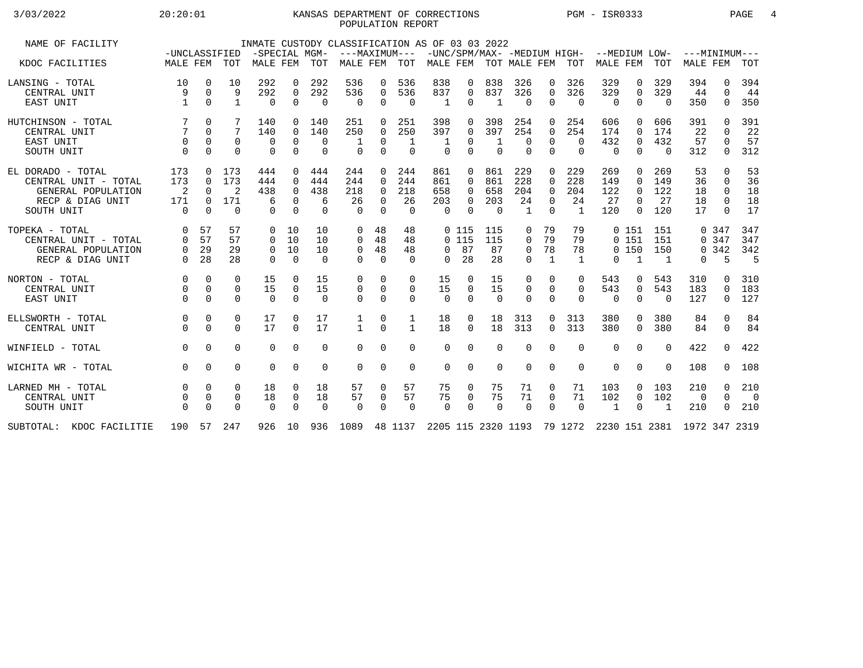## 3/03/2022 20:20:01 KANSAS DEPARTMENT OF CORRECTIONS PGM - ISR0333 PAGE 4 POPULATION REPORT

| NAME OF FACILITY         | -UNCLASSIFIED |             |              | INMATE CUSTODY CLASSIFICATION AS OF 03 03 2022<br>-SPECIAL MGM- |             |          | ---MAXIMUM---                                                           |             |              |          |          |              |                |                |                | -UNC/SPM/MAX- -MEDIUM HIGH- --MEDIUM LOW- ---MINIMUM--- |             |              |                 |              |                          |
|--------------------------|---------------|-------------|--------------|-----------------------------------------------------------------|-------------|----------|-------------------------------------------------------------------------|-------------|--------------|----------|----------|--------------|----------------|----------------|----------------|---------------------------------------------------------|-------------|--------------|-----------------|--------------|--------------------------|
| KDOC FACILITIES          | MALE FEM TOT  |             |              | MALE FEM TOT                                                    |             |          | MALE FEM                                                                |             | TOT          |          |          |              |                |                |                | MALE FEM TOT MALE FEM TOT MALE FEM TOT                  |             |              | <b>MALE FEM</b> |              | TOT                      |
| LANSING - TOTAL          | 10            | $\mathbf 0$ | 10           | 292                                                             | $\Omega$    | 292      | 536                                                                     | 0           | 536          | 838      | 0        | 838          | 326            | $\Omega$       | 326            | 329                                                     | 0           | 329          | 394             | 0            | 394                      |
| CENTRAL UNIT             | 9             | $\Omega$    | 9            | 292                                                             | $\Omega$    | 292      | 536                                                                     | $\mathbf 0$ | 536          | 837      | 0        | 837          | 326            | $\Omega$       | 326            | 329                                                     | $\mathbf 0$ | 329          | 44              | $\Omega$     | 44                       |
| EAST UNIT                |               | $\Omega$    | $\mathbf{1}$ | $\Omega$                                                        | $\Omega$    | $\Omega$ | $\Omega$                                                                | $\Omega$    | $\Omega$     | 1        | 0        | $\mathbf{1}$ | $\Omega$       | $\Omega$       | $\Omega$       | $\Omega$                                                | $\Omega$    | $\Omega$     | 350             | $\Omega$     | 350                      |
| HUTCHINSON - TOTAL       |               | $\Omega$    |              | 140                                                             |             | 140      | 251                                                                     | $\Omega$    | 251          | 398      | 0        | 398          | 254            | $\Omega$       | 254            | 606                                                     | $\Omega$    | 606          | 391             | <sup>n</sup> | 391                      |
| CENTRAL UNIT             |               | $\Omega$    | 7            | 140                                                             | $\Omega$    | 140      | 250                                                                     | $\Omega$    | 250          | 397      | 0        | 397          | 254            | $\Omega$       | 254            | 174                                                     | $\Omega$    | 174          | 22              | $\Omega$     | 22                       |
| EAST UNIT                | $\Omega$      | $\Omega$    | $\Omega$     | 0                                                               | $\Omega$    | $\Omega$ |                                                                         | $\Omega$    | 1            | 1        | 0        |              | $\Omega$       | $\Omega$       | $\mathbf 0$    | 432                                                     | $\mathbf 0$ | 432          | 57              | $\Omega$     | 57                       |
| SOUTH UNIT               | $\Omega$      | $\Omega$    | $\Omega$     | $\mathbf 0$                                                     | $\mathbf 0$ | $\Omega$ | $\Omega$                                                                | $\mathbf 0$ | $\mathbf 0$  | $\Omega$ | $\Omega$ | $\Omega$     | $\Omega$       | $\overline{0}$ | $\mathbf 0$    | $\overline{0}$                                          | $\mathbf 0$ | $\Omega$     | 312             | 0            | 312                      |
| EL DORADO - TOTAL        | 173           | $\Omega$    | 173          | 444                                                             | $\Omega$    | 444      | 244                                                                     | $\Omega$    | 244          | 861      | $\Omega$ | 861          | 229            | $\Omega$       | 229            | 269                                                     | $\Omega$    | 269          | 53              | $\Omega$     | 53                       |
| CENTRAL UNIT - TOTAL     | 173           | $\Omega$    | 173          | 444                                                             | $\Omega$    | 444      | 244                                                                     | $\Omega$    | 244          | 861      | 0        | 861          | 228            | $\Omega$       | 228            | 149                                                     | $\Omega$    | 149          | 36              | $\Omega$     | 36                       |
| GENERAL POPULATION       | 2             | $\Omega$    | 2            | 438                                                             | $\Omega$    | 438      | 218                                                                     | $\Omega$    | 218          | 658      | 0        | 658          | 204            | $\Omega$       | 204            | 122                                                     | $\Omega$    | 122          | 18              | $\Omega$     | 18                       |
| RECP & DIAG UNIT         | 171           | $\Omega$    | 171          | 6                                                               | $\Omega$    | 6        | 26                                                                      | $\Omega$    | 26           | 203      | 0        | 203          | 24             | $\Omega$       | 24             | 27                                                      | $\Omega$    | 27           | 18              | $\Omega$     | 18                       |
| SOUTH UNIT               | $\Omega$      | $\Omega$    | $\Omega$     | $\Omega$                                                        | $\Omega$    | $\Omega$ | $\Omega$                                                                | $\Omega$    | $\Omega$     | $\Omega$ | $\Omega$ | - 0          | $\overline{1}$ | $\Omega$       | $\overline{1}$ | 120                                                     | $\Omega$    | 120          | 17              | $\Omega$     | 17                       |
| TOPEKA - TOTAL           | $\Omega$      | 57          | 57           | $\Omega$                                                        | 10          | 10       | $\Omega$                                                                | 48          | 48           |          | 0 115    | 115          | 0              | 79             | 79             |                                                         | 0 151       | 151          |                 | 0.347        | 347                      |
| CENTRAL UNIT - TOTAL     | 0             | 57          | 57           | $\Omega$                                                        | 10          | 10       | $\Omega$                                                                | 48          | 48           |          | 0115     | 115          | 0              | 79             | 79             |                                                         | 0 151       | 151          |                 | 0.347        | 347                      |
| GENERAL POPULATION       | 0             | 29          | 29           | $\Omega$                                                        | 10          | 10       | $\mathbf 0$                                                             | 48          | 48           | $\Omega$ | 87       | 87           | 0              | 78             | 78             |                                                         | $0$ 150     | 150          |                 | 0.342        | 342                      |
| RECP & DIAG UNIT         | $\Omega$      | 28          | 28           | $\Omega$                                                        | $\Omega$    | $\Omega$ | $\Omega$                                                                | $\Omega$    | $\Omega$     | $\Omega$ | 28       | 28           | $\Omega$       | $\mathbf{1}$   | 1              | $\Omega$                                                | 1           | 1            | 0               | 5            | 5                        |
| NORTON - TOTAL           | $\Omega$      | $\Omega$    | $\Omega$     | 15                                                              | $\Omega$    | 15       | $\Omega$                                                                | $\Omega$    | $\Omega$     | 15       | 0        | 15           | 0              | $\Omega$       | $\Omega$       | 543                                                     | 0           | 543          | 310             | 0            | 310                      |
| CENTRAL UNIT             | $\Omega$      | $\Omega$    | $\Omega$     | 15                                                              | $\Omega$    | 15       | $\mathbf 0$                                                             | $\mathbf 0$ | 0            | 15       | 0        | 15           | 0              | $\Omega$       | $\mathbf 0$    | 543                                                     | $\mathbf 0$ | 543          | 183             | $\Omega$     | 183                      |
| EAST UNIT                | $\Omega$      | $\Omega$    | $\Omega$     | $\Omega$                                                        | $\Omega$    | $\Omega$ | $\Omega$                                                                | $\Omega$    | $\Omega$     | $\Omega$ | $\Omega$ | $\Omega$     | $\Omega$       | $\Omega$       | $\Omega$       | $\Omega$                                                | $\Omega$    | $\Omega$     | 127             | $\Omega$     | 127                      |
| ELLSWORTH - TOTAL        | $\mathbf 0$   | $\mathbf 0$ | 0            | 17                                                              | $\Omega$    | 17       | 1                                                                       | 0           | 1            | 18       | 0        | 18           | 313            | $\mathbf 0$    | 313            | 380                                                     | 0           | 380          | 84              | 0            | 84                       |
| CENTRAL UNIT             |               | $\Omega$    | $\Omega$     | 17                                                              | $\Omega$    | 17       | $\mathbf{1}$                                                            | $\Omega$    | $\mathbf{1}$ | 18       | $\Omega$ | 18           | 313            | $\Omega$       | 313            | 380                                                     | $\Omega$    | 380          | 84              | $\Omega$     | 84                       |
| WINFIELD - TOTAL         | $\Omega$      | $\Omega$    | $\Omega$     | $\Omega$                                                        | $\Omega$    | $\Omega$ | $\Omega$                                                                | $\Omega$    | $\Omega$     | $\Omega$ | 0        | $\Omega$     | $\Omega$       | $\Omega$       | $\Omega$       | $\Omega$                                                | $\Omega$    | $\Omega$     | 422             | $\Omega$     | 422                      |
| WICHITA WR - TOTAL       | $\Omega$      | $\Omega$    | $\Omega$     | $\Omega$                                                        | $\Omega$    | $\Omega$ | $\Omega$                                                                | $\Omega$    | $\Omega$     | $\Omega$ | 0        | $\Omega$     | $\Omega$       | $\Omega$       | $\Omega$       | $\Omega$                                                | $\Omega$    | $\Omega$     | 108             | $\Omega$     | 108                      |
| LARNED MH - TOTAL        | $\Omega$      | $\Omega$    | $\Omega$     | 18                                                              | $\Omega$    | 18       | 57                                                                      | $\Omega$    | 57           | 75       | 0        | 75           | 71             | $\Omega$       | 71             | 103                                                     | $\Omega$    | 103          | 210             | $\Omega$     | 210                      |
| CENTRAL UNIT             |               | $\mathbf 0$ | 0            | 18                                                              | 0           | 18       | 57                                                                      | $\mathbf 0$ | 57           | 75       | 0        | 75           | 71             | $\mathbf 0$    | 71             | 102                                                     | 0           | 102          | $\mathbf 0$     | $\Omega$     | $\overline{\phantom{0}}$ |
| SOUTH UNIT               |               | $\Omega$    | $\Omega$     | $\Omega$                                                        | $\Omega$    | $\Omega$ | $\Omega$                                                                | $\Omega$    | $\Omega$     | $\Omega$ | $\Omega$ | $\Omega$     | $\Omega$       | $\Omega$       | $\Omega$       | $\mathbf{1}$                                            | $\Omega$    | $\mathbf{1}$ | 210             | $\Omega$     | 210                      |
| SUBTOTAL: KDOC FACILITIE | 190           |             | 57 247       | 926 10                                                          |             |          | 936 1089 48 1137 2205 115 2320 1193 79 1272 2230 151 2381 1972 347 2319 |             |              |          |          |              |                |                |                |                                                         |             |              |                 |              |                          |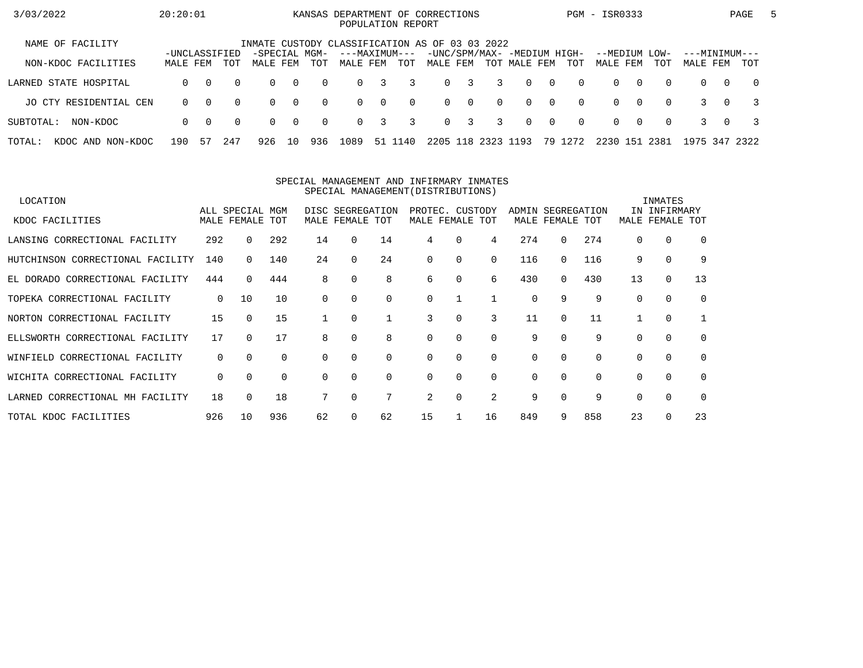| 3/03/2022                   | 20:20:01      |          |          |                                                |                |          | KANSAS DEPARTMENT OF CORRECTIONS |                | POPULATION REPORT |          |              |                    |                                             |                |          | PGM - ISR0333             |          |          |                           |          | PAGE           | $\mathbf{b}$ |
|-----------------------------|---------------|----------|----------|------------------------------------------------|----------------|----------|----------------------------------|----------------|-------------------|----------|--------------|--------------------|---------------------------------------------|----------------|----------|---------------------------|----------|----------|---------------------------|----------|----------------|--------------|
| NAME OF FACILITY            | -UNCLASSIFIED |          |          | INMATE CUSTODY CLASSIFICATION AS OF 03 03 2022 |                |          | ---MAXIMUM---                    |                |                   |          |              |                    |                                             |                |          |                           |          |          |                           |          |                |              |
| NON-KDOC FACILITIES         | MALE FEM      |          | TOT      | -SPECIAL MGM-<br>MALE FEM                      |                | TOT      | MALE FEM                         |                | TOT               | MALE FEM |              |                    | -UNC/SPM/MAX- -MEDIUM HIGH-<br>TOT MALE FEM |                | TOT      | --MEDIUM LOW-<br>MALE FEM |          | TOT      | ---MINIMUM---<br>MALE FEM |          | TOT            |              |
| LARNED STATE HOSPITAL       | $\Omega$      | $\Omega$ | $\Omega$ | $\Omega$                                       | $\bigcirc$     | $\Omega$ | $\Omega$                         | 3              | 3                 |          | $0 \quad 3$  | $\overline{3}$     | $\Omega$                                    | $\overline{0}$ | $\Omega$ | $\Omega$                  | $\Omega$ | $\Omega$ | $\Omega$                  | $\Omega$ | $\overline{0}$ |              |
| JO CTY RESIDENTIAL CEN      | $\Omega$      | $\Omega$ | $\Omega$ | $\Omega$                                       | $\overline{0}$ | $\Omega$ | $\Omega$                         | $\overline{0}$ | $\Omega$          |          | $0 \qquad 0$ | $\Omega$           | $\Omega$                                    | $\bigcap$      | $\Omega$ | $\Omega$                  | $\Omega$ | $\Omega$ |                           | $\Omega$ |                |              |
| SUBTOTAL:<br>NON-KDOC       | $\Omega$      | $\Omega$ | $\Omega$ | $\Omega$                                       | $\overline{0}$ | $\Omega$ | $\Omega$                         | 3              | 3                 |          | $0 \quad 3$  | $\overline{3}$     | $\Omega$                                    | $\overline{0}$ | $\Omega$ | $\Omega$                  | $\Omega$ | $\Omega$ |                           | $\Omega$ |                |              |
| TOTAL:<br>KDOC AND NON-KDOC | 190           | 57       | 247      | 926                                            | 10             | 936      | 1089                             |                | 51 1140           |          |              | 2205 118 2323 1193 |                                             |                | 79 1272  | 2230 151                  |          | 2381     | 1975 347 2322             |          |                |              |

#### SPECIAL MANAGEMENT AND INFIRMARY INMATESSPECIAL MANAGEMENT(DISTRIBUTIONS)

| LOCATION                         |             |                 |          |          |                  |             |                 |                 |             |       |             |          |          | INMATES      |             |
|----------------------------------|-------------|-----------------|----------|----------|------------------|-------------|-----------------|-----------------|-------------|-------|-------------|----------|----------|--------------|-------------|
|                                  |             | ALL SPECIAL MGM |          |          | DISC SEGREGATION |             |                 | PROTEC. CUSTODY |             | ADMIN | SEGREGATION |          |          | IN INFIRMARY |             |
| KDOC FACILITIES                  |             | MALE FEMALE TOT |          |          | MALE FEMALE TOT  |             | MALE FEMALE TOT |                 |             |       | MALE FEMALE | TOT      | MALE     | FEMALE       | TOT         |
| LANSING CORRECTIONAL FACILITY    | 292         | $\Omega$        | 292      | 14       | $\Omega$         | 14          | 4               | 0               | 4           | 274   | 0           | 274      | $\Omega$ | 0            | $\Omega$    |
| HUTCHINSON CORRECTIONAL FACILITY | 140         | 0               | 140      | 24       | $\Omega$         | 24          | 0               | 0               | 0           | 116   | $\Omega$    | 116      | 9        | $\mathbf 0$  | 9           |
| EL DORADO CORRECTIONAL FACILITY  | 444         | $\Omega$        | 444      | 8        | $\Omega$         | 8           | 6               | $\Omega$        | 6           | 430   | $\Omega$    | 430      | 13       | $\mathbf 0$  | 13          |
| TOPEKA CORRECTIONAL FACILITY     | $\mathbf 0$ | 10              | 10       | $\Omega$ |                  | $\Omega$    | 0               |                 |             | 0     | 9           | 9        | $\Omega$ | $\Omega$     | $\mathbf 0$ |
| NORTON CORRECTIONAL FACILITY     | 15          | $\Omega$        | 15       |          | $\Omega$         |             | 3               | $\Omega$        | 3           | 11    | $\Omega$    | 11       |          | 0            |             |
| ELLSWORTH CORRECTIONAL FACILITY  | 17          | $\Omega$        | 17       | 8        | 0                | 8           | 0               | $\Omega$        | $\mathbf 0$ | 9     | $\Omega$    | 9        |          | $\mathbf 0$  | $\mathbf 0$ |
| WINFIELD CORRECTIONAL FACILITY   | $\mathbf 0$ | $\Omega$        | $\Omega$ | $\Omega$ | $\Omega$         | $\mathbf 0$ | 0               | 0               | $\mathbf 0$ | 0     | $\Omega$    | $\Omega$ | $\Omega$ | $\mathbf 0$  | $\Omega$    |
| WICHITA CORRECTIONAL FACILITY    | $\mathbf 0$ | $\Omega$        | $\Omega$ | $\Omega$ |                  | $\Omega$    | 0               | $\Omega$        | $\Omega$    | 0     | $\Omega$    | $\Omega$ | $\Omega$ | $\Omega$     | $\mathbf 0$ |
| LARNED CORRECTIONAL MH FACILITY  | 18          | 0               | 18       |          |                  | 7           | 2               | 0               | 2           | 9     |             | 9        |          | $\mathbf 0$  | $\mathbf 0$ |
| TOTAL KDOC FACILITIES            | 926         | 10              | 936      | 62       |                  | 62          | 15              |                 | 16          | 849   | 9           | 858      | 23       | $\Omega$     | 23          |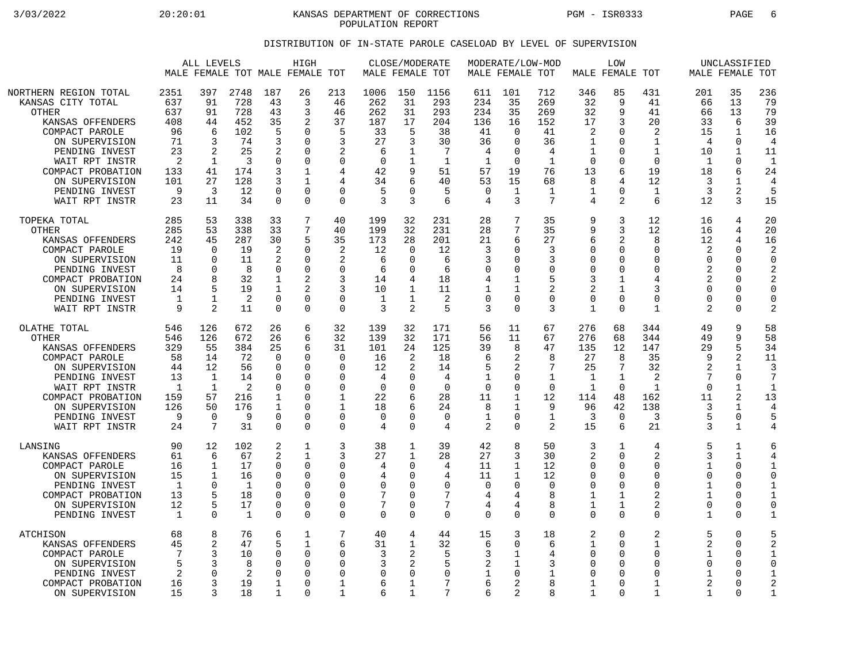3/03/2022 20:20:01 KANSAS DEPARTMENT OF CORRECTIONS PGM - ISR0333 PAGE 6 POPULATION REPORT

## DISTRIBUTION OF IN-STATE PAROLE CASELOAD BY LEVEL OF SUPERVISION

|                                                                                                                                                                                                                            |                                                                                        | ALL LEVELS                                                                     |                                                                             |                                                                                                 | HIGH<br>MALE FEMALE TOT MALE FEMALE TOT                                                             |                                                                                                                 |                                                                                 | CLOSE/MODERATE<br>MALE FEMALE TOT                                                        |                                                                       |                                                                                           | MODERATE/LOW-MOD<br>MALE FEMALE TOT                                                     |                                                                                          |                                                                                                       | LOW<br>MALE FEMALE TOT                                                                                   |                                                                                                     |                                                                                     | UNCLASSIFIED<br>MALE FEMALE TOT                                                          |                                                                                                                  |
|----------------------------------------------------------------------------------------------------------------------------------------------------------------------------------------------------------------------------|----------------------------------------------------------------------------------------|--------------------------------------------------------------------------------|-----------------------------------------------------------------------------|-------------------------------------------------------------------------------------------------|-----------------------------------------------------------------------------------------------------|-----------------------------------------------------------------------------------------------------------------|---------------------------------------------------------------------------------|------------------------------------------------------------------------------------------|-----------------------------------------------------------------------|-------------------------------------------------------------------------------------------|-----------------------------------------------------------------------------------------|------------------------------------------------------------------------------------------|-------------------------------------------------------------------------------------------------------|----------------------------------------------------------------------------------------------------------|-----------------------------------------------------------------------------------------------------|-------------------------------------------------------------------------------------|------------------------------------------------------------------------------------------|------------------------------------------------------------------------------------------------------------------|
| NORTHERN REGION TOTAL<br>KANSAS CITY TOTAL<br>OTHER<br>KANSAS OFFENDERS<br>COMPACT PAROLE<br>ON SUPERVISION<br>PENDING INVEST<br>WAIT RPT INSTR<br>COMPACT PROBATION<br>ON SUPERVISION<br>PENDING INVEST<br>WAIT RPT INSTR | 2351<br>637<br>637<br>408<br>96<br>71<br>23<br>$\overline{2}$<br>133<br>101<br>9<br>23 | 397<br>91<br>91<br>44<br>6<br>3<br>2<br>1<br>41<br>27<br>3<br>11               | 2748<br>728<br>728<br>452<br>102<br>74<br>25<br>3<br>174<br>128<br>12<br>34 | 187<br>43<br>43<br>35<br>5<br>3<br>2<br>0<br>3<br>3<br>$\Omega$<br>$\Omega$                     | 26<br>3<br>3<br>2<br>$\Omega$<br>$\Omega$<br>$\Omega$<br>$\Omega$<br>1<br>1<br>$\Omega$<br>$\Omega$ | 213<br>46<br>46<br>37<br>5<br>3<br>2<br>$\mathbf 0$<br>4<br>4<br>$\mathbf 0$<br>$\Omega$                        | 1006<br>262<br>262<br>187<br>33<br>27<br>6<br>$\mathbf 0$<br>42<br>34<br>5<br>3 | 150<br>31<br>31<br>17<br>5<br>3<br>1<br>9<br>6<br>O<br>3                                 | 1156<br>293<br>293<br>204<br>38<br>30<br>7<br>1<br>51<br>40<br>5<br>6 | 611<br>234<br>234<br>136<br>41<br>36<br>4<br>$\mathbf{1}$<br>57<br>53<br>$\mathbf 0$<br>4 | 101<br>35<br>35<br>16<br>$\Omega$<br>0<br>$\Omega$<br>$\mathbf 0$<br>19<br>15<br>1<br>3 | 712<br>269<br>269<br>152<br>41<br>36<br>4<br>$\mathbf 1$<br>76<br>68<br>$\mathbf 1$<br>7 | 346<br>32<br>32<br>17<br>2<br>1<br>1<br>$\Omega$<br>13<br>8<br>1<br>4                                 | 85<br>9<br>9<br>3<br>$\Omega$<br>$\mathbf 0$<br>$\Omega$<br>$\mathbf 0$<br>6<br>4<br>$\Omega$<br>2       | 431<br>41<br>41<br>20<br>2<br>1<br>$\mathbf{1}$<br>$\mathbf 0$<br>19<br>12<br>1<br>6                | 201<br>66<br>66<br>33<br>15<br>4<br>10<br>1<br>18<br>3<br>3<br>12                   | 35<br>13<br>13<br>6<br>1<br>0<br>1<br>0<br>6<br>1<br>2<br>3                              | 236<br>79<br>79<br>39<br>16<br>$\overline{4}$<br>11<br>$\mathbf{1}$<br>24<br>$\overline{4}$<br>5<br>15           |
| TOPEKA TOTAL<br>OTHER<br>KANSAS OFFENDERS<br>COMPACT PAROLE<br>ON SUPERVISION<br>PENDING INVEST<br>COMPACT PROBATION<br>ON SUPERVISION<br>PENDING INVEST<br>WAIT RPT INSTR                                                 | 285<br>285<br>242<br>19<br>11<br>8<br>24<br>14<br>1<br>9                               | 53<br>53<br>45<br>$\bigcap$<br>$\cap$<br>0<br>8<br>5<br>$\mathbf 1$<br>2       | 338<br>338<br>287<br>19<br>11<br>8<br>32<br>19<br>$\overline{2}$<br>11      | 33<br>33<br>30<br>2<br>2<br>0<br>1<br>$\mathbf{1}$<br>$\mathbf 0$<br>$\Omega$                   | 7<br>7<br>5<br>$\Omega$<br>$\Omega$<br>$\Omega$<br>$\overline{2}$<br>$\mathbf 0$<br>$\Omega$        | 40<br>40<br>35<br>$\overline{2}$<br>2<br>0<br>3<br>3<br>$\mathbf 0$<br>$\Omega$                                 | 199<br>199<br>173<br>12<br>6<br>6<br>14<br>10<br>$\mathbf{1}$<br>3              | 32<br>32<br>28<br>$\Omega$<br>U<br>$\Omega$<br>1<br>$\mathbf 1$<br>2                     | 231<br>231<br>201<br>12<br>6<br>6<br>18<br>11<br>2<br>5               | 28<br>28<br>21<br>3<br>3<br>0<br>$\overline{4}$<br>1<br>$\overline{0}$<br>3               | 7<br>7<br>6<br>0<br>0<br>0<br>1<br>1<br>0<br>$\Omega$                                   | 35<br>35<br>27<br>3<br>3<br>0<br>5<br>2<br>$\mathbf 0$<br>3                              | 9<br>9<br>6<br>$\Omega$<br>$\Omega$<br>$\Omega$<br>3<br>$\overline{2}$<br>$\mathbf 0$<br>$\mathbf{1}$ | 3<br>3<br>$\overline{2}$<br>$\mathbf 0$<br>$\Omega$<br>0<br>1<br>$\mathbf{1}$<br>$\mathbf 0$<br>$\Omega$ | 12<br>12<br>8<br>$\mathbf 0$<br>$\Omega$<br>$\mathbf 0$<br>4<br>3<br>$\mathbf 0$<br>$\mathbf{1}$    | 16<br>16<br>12<br>2<br>$\Omega$<br>2<br>$\overline{2}$<br>$\Omega$<br>$\Omega$<br>2 | 4<br>4<br>4<br>0<br>$\Omega$<br>$\Omega$<br>$\Omega$<br>$\Omega$<br>$\Omega$<br>$\Omega$ | 20<br>20<br>16<br>$\overline{2}$<br>$\Omega$<br>2<br>$\overline{2}$<br>$\Omega$<br>$\mathbf 0$<br>$\overline{a}$ |
| OLATHE TOTAL<br><b>OTHER</b><br>KANSAS OFFENDERS<br>COMPACT PAROLE<br>ON SUPERVISION<br>PENDING INVEST<br>WAIT RPT INSTR<br>COMPACT PROBATION<br>ON SUPERVISION<br>PENDING INVEST<br>WAIT RPT INSTR                        | 546<br>546<br>329<br>58<br>44<br>13<br>$\mathbf{1}$<br>159<br>126<br>9<br>24           | 126<br>126<br>55<br>14<br>12<br>1<br>$\mathbf{1}$<br>57<br>50<br>$\Omega$<br>7 | 672<br>672<br>384<br>72<br>56<br>14<br>2<br>216<br>176<br>9<br>31           | 26<br>26<br>25<br>$\Omega$<br>$\mathbf 0$<br>$\Omega$<br>0<br>1<br>1<br>$\Omega$<br>$\mathbf 0$ | 6<br>6<br>6<br>$\cap$<br>0<br>$\Omega$<br>$\Omega$<br>$\Omega$<br>$\Omega$<br>$\Omega$<br>$\Omega$  | 32<br>32<br>31<br>$\mathbf 0$<br>$\mathbf 0$<br>$\Omega$<br>$\mathbf 0$<br>1<br>1<br>$\mathbf 0$<br>$\mathbf 0$ | 139<br>139<br>101<br>16<br>12<br>4<br>$\mathbf 0$<br>22<br>18<br>0<br>4         | 32<br>32<br>24<br>2<br>$\overline{2}$<br>$\Omega$<br>$\Omega$<br>6<br>6<br>O<br>$\Omega$ | 171<br>171<br>125<br>18<br>14<br>4<br>$\Omega$<br>28<br>24<br>0<br>4  | 56<br>56<br>39<br>6<br>5<br>1<br>$\mathbf 0$<br>11<br>8<br>1<br>2                         | 11<br>11<br>8<br>2<br>2<br>0<br>0<br>1<br>1<br>0<br>$\Omega$                            | 67<br>67<br>47<br>8<br>7<br>1<br>$\Omega$<br>12<br>9<br>1<br>2                           | 276<br>276<br>135<br>27<br>25<br>1<br>$\mathbf{1}$<br>114<br>96<br>3<br>15                            | 68<br>68<br>12<br>8<br>7<br>$\mathbf{1}$<br>$\Omega$<br>48<br>42<br>$\mathbf 0$<br>6                     | 344<br>344<br>147<br>35<br>32<br>2<br>$\mathbf{1}$<br>162<br>138<br>3<br>21                         | 49<br>49<br>29<br>q<br>2<br>7<br>$\Omega$<br>11<br>3<br>5<br>3                      | 9<br>9<br>5<br>2<br>1<br>$\Omega$<br>$\mathbf 1$<br>2<br>$\mathbf{1}$<br>0<br>1          | 58<br>58<br>34<br>11<br>3<br>1<br>13<br>4<br>5<br>4                                                              |
| LANSING<br>KANSAS OFFENDERS<br>COMPACT PAROLE<br>ON SUPERVISION<br>PENDING INVEST<br>COMPACT PROBATION<br>ON SUPERVISION<br>PENDING INVEST                                                                                 | 90<br>61<br>16<br>15<br>1<br>13<br>12<br>1                                             | 12<br>6<br>$\mathbf{1}$<br>$\mathbf 1$<br>$\Omega$<br>5<br>5<br>$\Omega$       | 102<br>67<br>17<br>16<br>-1<br>18<br>17<br>1                                | 2<br>2<br>$\Omega$<br>$\mathbf 0$<br>$\Omega$<br>$\mathbf 0$<br>$\Omega$<br>$\mathbf 0$         | 1<br>$\mathbf{1}$<br>0<br>$\Omega$<br>$\Omega$<br>$\Omega$<br>$\Omega$<br>$\Omega$                  | 3<br>3<br>0<br>$\mathbf 0$<br>$\Omega$<br>$\mathbf 0$<br>$\mathbf 0$<br>$\Omega$                                | 38<br>27<br>4<br>4<br>$\Omega$<br>7<br>7<br>0                                   | 1<br>$\mathbf{1}$<br>$\Omega$<br>$\Omega$<br>$\Omega$<br>0<br>$\Omega$<br>$\Omega$       | 39<br>28<br>4<br>4<br>$\Omega$<br>7<br>7<br>$\Omega$                  | 42<br>27<br>11<br>11<br>$\Omega$<br>4<br>4<br>$\mathbf 0$                                 | 8<br>3<br>$\mathbf 1$<br>1<br>0<br>4<br>4<br>0                                          | 50<br>30<br>12<br>12<br>$\Omega$<br>8<br>8<br>$\Omega$                                   | 3<br>2<br>$\Omega$<br>$\Omega$<br>$\Omega$<br>1<br>$\mathbf{1}$<br>$\Omega$                           | 1<br>$\Omega$<br>$\Omega$<br>$\mathbf 0$<br>$\Omega$<br>$\mathbf 1$<br>1<br>$\cap$                       | 4<br>$\overline{a}$<br>0<br>$\mathbf 0$<br>$\Omega$<br>$\overline{2}$<br>$\overline{a}$<br>$\Omega$ | 5<br>3<br>1<br>$\mathbf 0$<br>1<br>$\mathbf{1}$<br>$\Omega$<br>1                    | 1<br>$\mathbf{1}$<br>$\Omega$<br>$\Omega$<br>$\Omega$<br>$\Omega$<br>0<br>0              | 6<br>4<br>1<br>$\mathbf 0$<br>1<br>1<br>$\mathbf 0$<br>1                                                         |
| ATCHISON<br>KANSAS OFFENDERS<br>COMPACT PAROLE<br>ON SUPERVISION<br>PENDING INVEST<br>COMPACT PROBATION<br>ON SUPERVISION                                                                                                  | 68<br>45<br>7<br>5<br>2<br>16<br>15                                                    | 8<br>$\overline{2}$<br>3<br>3<br>$\Omega$<br>3<br>3                            | 76<br>47<br>10<br>8<br>2<br>19<br>18                                        | 6<br>5<br>$\Omega$<br>0<br>$\Omega$<br>1<br>1                                                   | 1<br>$\mathbf 1$<br>$\Omega$<br>$\Omega$<br>$\Omega$<br>$\Omega$<br>$\Omega$                        | 7<br>6<br>$\Omega$<br>$\Omega$<br>0<br>1<br>1                                                                   | 40<br>31<br>3<br>3<br>O<br>6<br>6                                               | 4<br>$\mathbf{1}$<br>2<br>2<br>$\Omega$<br>1                                             | 44<br>32<br>5<br>5<br>$\Omega$<br>7<br>7                              | 15<br>6<br>3<br>2<br>1<br>6<br>6                                                          | 3<br>0<br>1<br>1<br>0<br>2<br>2                                                         | 18<br>6<br>4<br>3<br>1<br>8<br>8                                                         | 2<br>1<br>$\Omega$<br>0<br>$\Omega$<br>1<br>1                                                         | $\mathbf 0$<br>$\Omega$<br>$\Omega$<br>$\Omega$<br>$\Omega$<br>$\mathbf 0$<br>$\Omega$                   | 2<br>$\mathbf{1}$<br>$\Omega$<br>$\mathbf 0$<br>$\Omega$<br>1<br>$\mathbf{1}$                       | 5<br>$\overline{2}$<br>1<br>$\mathbf 0$<br>1<br>2<br>1                              | 0<br>$\Omega$<br>$\Omega$<br>$\mathbf 0$<br>$\Omega$<br>$\Omega$<br>0                    | 5<br>$\overline{c}$<br>1<br>$\mathbf 0$<br>1<br>$\overline{2}$<br>$\mathbf{1}$                                   |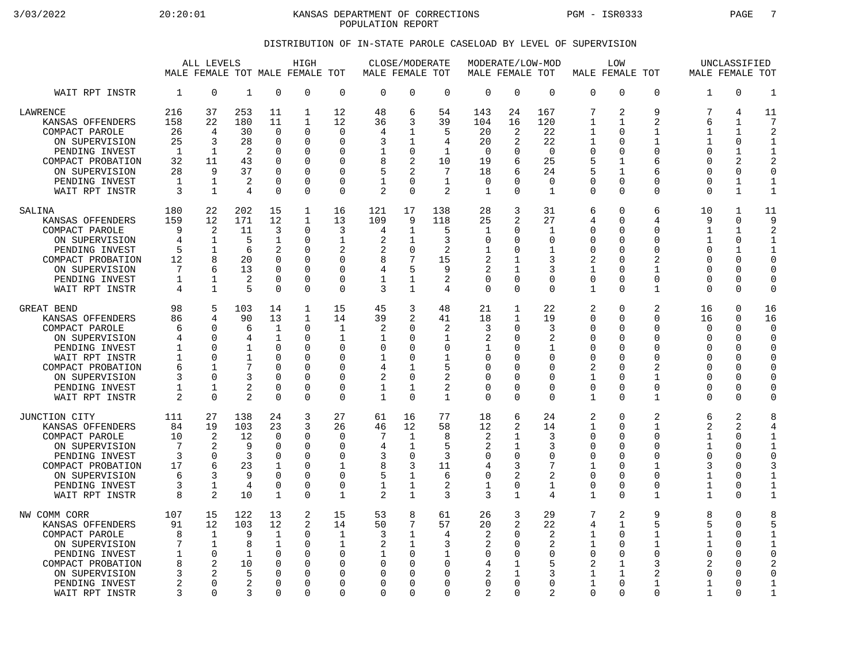3/03/2022 20:20:01 KANSAS DEPARTMENT OF CORRECTIONS PGM - ISR0333 PAGE 7 POPULATION REPORT

## DISTRIBUTION OF IN-STATE PAROLE CASELOAD BY LEVEL OF SUPERVISION

|                                                                                                                                                                                   |                                                             | ALL LEVELS<br>MALE FEMALE TOT MALE FEMALE                                                            |                                                                |                                                                                                                 | HIGH                                                                                         | TOT                                                                                                                | MALE FEMALE TOT                                                            | CLOSE/MODERATE                                                                                               |                                                                                         | MODERATE/LOW-MOD<br>MALE FEMALE TOT                                             |                                                                                                         |                                                                                     | MALE FEMALE TOT                                                                                           | LOW                                                                                                                           |                                                                                                  | MALE FEMALE TOT                                                                               | UNCLASSIFIED                                                                                                               |                                                                                                         |
|-----------------------------------------------------------------------------------------------------------------------------------------------------------------------------------|-------------------------------------------------------------|------------------------------------------------------------------------------------------------------|----------------------------------------------------------------|-----------------------------------------------------------------------------------------------------------------|----------------------------------------------------------------------------------------------|--------------------------------------------------------------------------------------------------------------------|----------------------------------------------------------------------------|--------------------------------------------------------------------------------------------------------------|-----------------------------------------------------------------------------------------|---------------------------------------------------------------------------------|---------------------------------------------------------------------------------------------------------|-------------------------------------------------------------------------------------|-----------------------------------------------------------------------------------------------------------|-------------------------------------------------------------------------------------------------------------------------------|--------------------------------------------------------------------------------------------------|-----------------------------------------------------------------------------------------------|----------------------------------------------------------------------------------------------------------------------------|---------------------------------------------------------------------------------------------------------|
| WAIT RPT INSTR                                                                                                                                                                    | 1                                                           | $\mathbf 0$                                                                                          | $\mathbf{1}$                                                   | $\mathbf 0$                                                                                                     | $\Omega$                                                                                     | $\mathbf 0$                                                                                                        | $\Omega$                                                                   | $\mathbf 0$                                                                                                  | $\mathbf 0$                                                                             | 0                                                                               | $\Omega$                                                                                                | $\mathbf 0$                                                                         | $\Omega$                                                                                                  | $\mathbf 0$                                                                                                                   | $\Omega$                                                                                         | $\mathbf{1}$                                                                                  | $\Omega$                                                                                                                   | $\mathbf{1}$                                                                                            |
| LAWRENCE<br>KANSAS OFFENDERS<br>COMPACT PAROLE<br>ON SUPERVISION<br>PENDING INVEST<br>COMPACT PROBATION<br>ON SUPERVISION<br>PENDING INVEST<br>WAIT RPT INSTR                     | 216<br>158<br>26<br>25<br>1<br>32<br>28<br>1<br>3           | 37<br>22<br>4<br>3<br>1<br>11<br>9<br>1<br>$\mathbf{1}$                                              | 253<br>180<br>30<br>28<br>2<br>43<br>37<br>$\overline{2}$<br>4 | 11<br>11<br>$\mathbf 0$<br>$\Omega$<br>$\mathbf 0$<br>$\Omega$<br>$\Omega$<br>$\mathbf 0$<br>$\Omega$           | 1<br>$\mathbf{1}$<br>0<br>$\Omega$<br><sup>0</sup><br>0<br><sup>0</sup><br>0<br><sup>0</sup> | 12<br>12<br>$\mathbf 0$<br>$\Omega$<br>0<br>$\Omega$<br>$\Omega$<br>$\mathbf 0$<br>$\Omega$                        | 48<br>36<br>4<br>3<br>1<br>8<br>5<br>$\mathbf{1}$<br>2                     | 6<br>3<br>$\mathbf{1}$<br>1<br>$\mathbf 0$<br>2<br>$\overline{2}$<br>$\mathbf 0$<br>$\Omega$                 | 54<br>39<br>5<br>4<br>1<br>10<br>7<br>$\mathbf{1}$<br>2                                 | 143<br>104<br>20<br>20<br>$\mathbf 0$<br>19<br>18<br>0<br>1                     | 24<br>16<br>2<br>2<br>0<br>6<br>6<br>$\Omega$<br>$\Omega$                                               | 167<br>120<br>22<br>22<br>$\mathbf 0$<br>25<br>24<br>$\mathbf 0$<br>1               | 7<br>$\mathbf{1}$<br>$\mathbf{1}$<br>1<br>$\mathbf 0$<br>5<br>5<br>$\mathbf 0$<br>$\Omega$                | 2<br>1<br>$\Omega$<br>$\Omega$<br>$\mathbf 0$<br>$\mathbf 1$<br>1<br>$\mathbf 0$<br>$\Omega$                                  | 9<br>2<br>$\mathbf{1}$<br>1<br>$\Omega$<br>6<br>6<br>0<br>$\Omega$                               | 7<br>6<br>$\mathbf 1$<br>1<br>$\mathbf 0$<br>$\Omega$<br>$\Omega$<br>$\Omega$<br>$\Omega$     | 4<br>1<br>$\mathbf{1}$<br>$\Omega$<br>1<br>$\overline{2}$<br>$\Omega$<br>$\mathbf{1}$<br>$\mathbf{1}$                      | 11<br>7<br>2<br>-1<br>$\mathbf{1}$<br>$\overline{2}$<br>$\Omega$<br>$\mathbf{1}$<br>$\mathbf{1}$        |
| SALINA<br>KANSAS OFFENDERS<br>COMPACT PAROLE<br>ON SUPERVISION<br>PENDING INVEST<br>COMPACT PROBATION<br>ON SUPERVISION<br>PENDING INVEST<br>WAIT RPT INSTR                       | 180<br>159<br>9<br>4<br>5<br>12<br>7<br>1<br>4              | 22<br>12<br>2<br>1<br>1<br>8<br>6<br>$\mathbf{1}$<br>$\mathbf{1}$                                    | 202<br>171<br>11<br>5<br>6<br>20<br>13<br>2<br>5               | 15<br>12<br>3<br>$\mathbf 1$<br>$\overline{2}$<br>$\Omega$<br>$\Omega$<br>$\Omega$<br>$\Omega$                  | 1<br>$\mathbf{1}$<br>$\Omega$<br>$\Omega$<br>0<br><sup>0</sup><br>$\Omega$<br>0<br>0         | 16<br>13<br>3<br>1<br>2<br>$\Omega$<br>$\Omega$<br>$\mathbf 0$<br>$\mathbf 0$                                      | 121<br>109<br>4<br>2<br>2<br>8<br>4<br>1<br>3                              | 17<br>9<br>1<br>1<br>$\mathbf 0$<br>7<br>5<br>$\mathbf 1$<br>$\mathbf{1}$                                    | 138<br>118<br>5<br>3<br>$\overline{a}$<br>15<br>9<br>2<br>4                             | 28<br>25<br>1<br>0<br>$\mathbf 1$<br>2<br>2<br>$\Omega$<br>0                    | 3<br>2<br>0<br>$\Omega$<br>O<br>1<br>$\Omega$<br>$\Omega$                                               | 31<br>27<br>1<br>$\Omega$<br>$\mathbf 1$<br>3<br>3<br>$\Omega$<br>$\Omega$          | 6<br>4<br>0<br>$\mathbf 0$<br>$\mathbf 0$<br>2<br>$\mathbf{1}$<br>$\mathbf 0$<br>$\mathbf{1}$             | $\Omega$<br>$\mathbf 0$<br>$\Omega$<br>$\Omega$<br>$\mathbf 0$<br>$\Omega$<br>$\Omega$<br>$\Omega$<br>$\Omega$                | б<br>4<br>$\Omega$<br>$\Omega$<br>0<br>$\overline{a}$<br>$\mathbf{1}$<br>$\Omega$<br>$\mathbf 1$ | 10<br>9<br>1<br>$\mathbf 1$<br>$\mathbf 0$<br>$\Omega$<br>$\Omega$<br>$\Omega$<br>$\mathbf 0$ | 1<br>$\Omega$<br>1<br>$\Omega$<br>$\mathbf{1}$<br>$\Omega$<br>$\Omega$<br>0<br>$\Omega$                                    | 11<br>9<br>2<br>$\mathbf{1}$<br>$\mathbf{1}$<br>$\Omega$<br>$\mathbf 0$<br>$\Omega$<br>$\Omega$         |
| GREAT BEND<br>KANSAS OFFENDERS<br>COMPACT PAROLE<br>ON SUPERVISION<br>PENDING INVEST<br>WAIT RPT INSTR<br>COMPACT PROBATION<br>ON SUPERVISION<br>PENDING INVEST<br>WAIT RPT INSTR | 98<br>86<br>6<br>4<br>1<br>$\mathbf{1}$<br>6<br>3<br>1<br>2 | 5<br>4<br>$\Omega$<br>$\Omega$<br>$\Omega$<br>$\Omega$<br>$\mathbf{1}$<br>$\Omega$<br>-1<br>$\Omega$ | 103<br>90<br>6<br>4<br>1<br>1<br>7<br>3<br>2<br>$\overline{2}$ | 14<br>13<br>$\mathbf 1$<br>$\mathbf{1}$<br>$\Omega$<br>$\Omega$<br>$\Omega$<br>$\Omega$<br>$\Omega$<br>$\Omega$ | $\mathbf{1}$<br>1<br>0<br>$\Omega$<br>0<br>0<br><sup>0</sup><br>0<br>0<br>$\Omega$           | 15<br>14<br>$\mathbf 1$<br>$\mathbf{1}$<br>$\Omega$<br>$\Omega$<br>$\Omega$<br>$\mathbf 0$<br>$\Omega$<br>$\Omega$ | 45<br>39<br>2<br>1<br>$\Omega$<br>4<br>2<br>1                              | 3<br>2<br>$\mathbf 0$<br>$\Omega$<br>$\Omega$<br>$\mathbf 0$<br>$\mathbf{1}$<br>$\mathbf 0$<br>1<br>$\Omega$ | 48<br>41<br>2<br>1<br>0<br>1<br>5<br>$\overline{2}$<br>$\overline{2}$<br>1              | 21<br>18<br>3<br>$\overline{2}$<br>1<br>0<br>$\Omega$<br>0<br><sup>0</sup><br>0 | $\mathbf{1}$<br>1<br>0<br><sup>0</sup><br>$\Omega$<br>$\Omega$<br>∩<br>$\Omega$<br>$\Omega$<br>$\Omega$ | 22<br>19<br>3<br>2<br>1<br>$\Omega$<br>$\Omega$<br>$\Omega$<br>$\Omega$<br>$\Omega$ | 2<br>0<br>$\Omega$<br>$\mathbf 0$<br>0<br>$\mathbf 0$<br>2<br>$\mathbf{1}$<br>$\mathbf 0$<br>$\mathbf{1}$ | $\mathbf 0$<br>$\Omega$<br>$\mathbf 0$<br>$\Omega$<br>$\Omega$<br>$\Omega$<br>$\Omega$<br>$\mathbf 0$<br>$\Omega$<br>$\Omega$ | $\overline{2}$<br>O<br>$\Omega$<br>$\Omega$<br>0<br>0<br>2<br>$\mathbf 1$<br>0<br>$\mathbf 1$    | 16<br>16<br>$\mathbf 0$<br>$\Omega$<br>O<br>$\Omega$<br>$\Omega$<br>0<br>O<br>$\Omega$        | $\mathbf 0$<br>$\Omega$<br>$\mathbf 0$<br>$\Omega$<br>$\Omega$<br>$\Omega$<br>$\Omega$<br>$\Omega$<br>$\Omega$<br>$\Omega$ | 16<br>16<br>$\Omega$<br>$\Omega$<br>0<br>$\Omega$<br>$\Omega$<br>$\mathbf 0$<br>$\Omega$<br>0           |
| JUNCTION CITY<br>KANSAS OFFENDERS<br>COMPACT PAROLE<br>ON SUPERVISION<br>PENDING INVEST<br>COMPACT PROBATION<br>ON SUPERVISION<br>PENDING INVEST<br>WAIT RPT INSTR                | 111<br>84<br>10<br>7<br>3<br>17<br>6<br>3<br>8              | 27<br>19<br>$\overline{2}$<br>$\overline{2}$<br>$\Omega$<br>6<br>3<br>1<br>$\overline{2}$            | 138<br>103<br>12<br>9<br>3<br>23<br>9<br>4<br>10               | 24<br>23<br>$\Omega$<br>$\Omega$<br>$\Omega$<br>1<br>$\Omega$<br>$\mathbf 0$<br>$\mathbf{1}$                    | 3<br>3<br>$\Omega$<br>0<br>$\Omega$<br>0<br>0<br>0<br><sup>0</sup>                           | 27<br>26<br>$\Omega$<br>$\Omega$<br>$\Omega$<br>1<br>$\Omega$<br>0<br>$\mathbf{1}$                                 | 61<br>46<br>4<br>3<br>8<br>5<br>1<br>$\overline{2}$                        | 16<br>12<br>$\mathbf 1$<br>$\mathbf{1}$<br>$\Omega$<br>3<br>$\mathbf 1$<br>1<br>$\mathbf{1}$                 | 77<br>58<br>8<br>5<br>3<br>11<br>6<br>$\overline{2}$<br>3                               | 18<br>12<br>2<br>2<br>$\Omega$<br>4<br>0<br>1<br>3                              | 6<br>2<br>1<br>$\mathbf{1}$<br>$\Omega$<br>3<br>2<br>0<br>1                                             | 24<br>14<br>3<br>3<br>$\Omega$<br>7<br>2<br>$\mathbf 1$<br>4                        | 2<br>$\mathbf{1}$<br>$\Omega$<br>$\Omega$<br>0<br>$\mathbf{1}$<br>$\mathbf 0$<br>0<br>$\mathbf{1}$        | $\mathbf 0$<br>$\mathbf 0$<br>$\Omega$<br>$\mathbf 0$<br>$\Omega$<br>$\Omega$<br>$\Omega$<br>$\mathbf 0$<br>$\Omega$          | 2<br>$\mathbf{1}$<br>$\Omega$<br>0<br>0<br>1<br>0<br>0<br>$\mathbf{1}$                           | 6<br>2<br>$\mathbf{1}$<br>$\mathbf 1$<br>$\Omega$<br>3<br>$\mathbf 1$<br>1<br>1               | 2<br>2<br>$\Omega$<br>$\Omega$<br>$\Omega$<br>$\Omega$<br>$\Omega$<br>0<br>$\Omega$                                        | 8<br>4<br>$\mathbf{1}$<br>$\mathbf{1}$<br>$\Omega$<br>3<br>$\mathbf{1}$<br>$\mathbf{1}$<br>$\mathbf{1}$ |
| NW COMM CORR<br>KANSAS OFFENDERS<br>COMPACT PAROLE<br>ON SUPERVISION<br>PENDING INVEST<br>COMPACT PROBATION<br>ON SUPERVISION<br>PENDING INVEST<br>WAIT RPT INSTR                 | 107<br>91<br>8<br>7<br>1<br>8<br>3<br>$\overline{a}$<br>3   | 15<br>12<br>$\mathbf 1$<br>$\mathbf{1}$<br>$\Omega$<br>$\mathfrak{D}$<br>2<br>$\Omega$<br>$\Omega$   | 122<br>103<br>9<br>8<br>$\mathbf{1}$<br>10<br>5<br>2<br>3      | 13<br>12<br>$\mathbf 1$<br>1<br>$\Omega$<br>$\Omega$<br>$\mathbf 0$<br>$\Omega$<br>$\Omega$                     | 2<br>2<br>0<br>0<br>0<br><sup>0</sup><br><sup>0</sup><br>0<br><sup>n</sup>                   | 15<br>14<br>$\mathbf{1}$<br>1<br>$\Omega$<br><sup>0</sup><br>0<br>$\Omega$<br>$\Omega$                             | 53<br>50<br>3<br>2<br><sup>0</sup><br>$\Omega$<br><sup>0</sup><br>$\Omega$ | 8<br>7<br>$\mathbf{1}$<br>$\mathbf{1}$<br>$\mathbf 0$<br>$\Omega$<br>0<br>$\Omega$<br>$\Omega$               | 61<br>57<br>4<br>3<br>$\mathbf 1$<br>$\Omega$<br>$\mathbf 0$<br>$\mathbf 0$<br>$\Omega$ | 26<br>20<br>$\overline{2}$<br>2<br>0<br>4<br>2<br>$\Omega$<br>$\overline{2}$    | 3<br>2<br>$\Omega$<br>$\Omega$<br>0<br>1<br>1<br>$\Omega$<br>$\Omega$                                   | 29<br>22<br>2<br>2<br>$\Omega$<br>5<br>3<br>$\Omega$<br>2                           | 7<br>4<br>1<br>1<br>$\mathbf 0$<br>2<br>$\mathbf{1}$<br>1<br>$\Omega$                                     | 2<br>1<br>$\Omega$<br>$\Omega$<br>$\mathbf 0$<br>1<br>1<br>$\Omega$<br>$\Omega$                                               | 9<br>5<br>$\mathbf{1}$<br>1<br>$\Omega$<br>3<br>2<br>1<br>$\Omega$                               | 8<br>5<br>$\mathbf{1}$<br>1<br>$\mathbf 0$<br>2<br>O<br>1<br>1                                | $\Omega$<br>$\Omega$<br>$\mathbf 0$<br>$\Omega$<br>$\Omega$<br>$\Omega$<br>U<br>$\Omega$<br>$\Omega$                       | 8<br>5<br>$\mathbf{1}$<br>$\mathbf{1}$<br>$\Omega$<br>2<br>0<br>$\mathbf{1}$<br>$\mathbf{1}$            |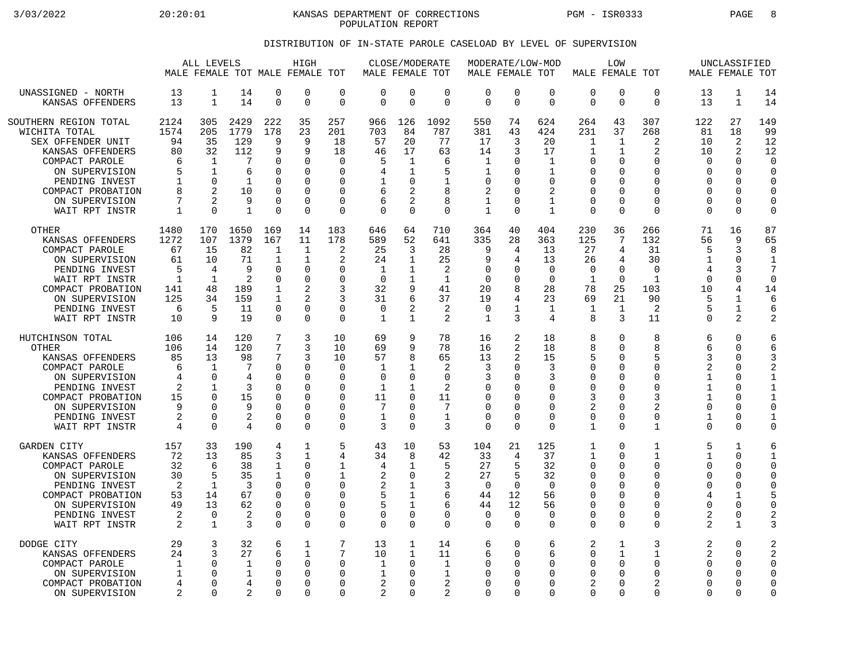3/03/2022 20:20:01 KANSAS DEPARTMENT OF CORRECTIONS PGM - ISR0333 PAGE 8 POPULATION REPORT

## DISTRIBUTION OF IN-STATE PAROLE CASELOAD BY LEVEL OF SUPERVISION

|                                                                                                                                                                                     |                                                               | ALL LEVELS<br>MALE FEMALE TOT MALE FEMALE TOT                     |                                                                           |                                                                                                    | HIGH                                                                                                                         |                                                      | MALE FEMALE TOT                                                         | CLOSE/MODERATE                                              |                                                                   | MALE FEMALE TOT                                                       |                                                     | MODERATE/LOW-MOD                                                      | MALE FEMALE TOT                                                                                              | LOW                                                                                                               |                                                                            | MALE FEMALE TOT                                                                               | UNCLASSIFIED                                                                          |                                                                                   |
|-------------------------------------------------------------------------------------------------------------------------------------------------------------------------------------|---------------------------------------------------------------|-------------------------------------------------------------------|---------------------------------------------------------------------------|----------------------------------------------------------------------------------------------------|------------------------------------------------------------------------------------------------------------------------------|------------------------------------------------------|-------------------------------------------------------------------------|-------------------------------------------------------------|-------------------------------------------------------------------|-----------------------------------------------------------------------|-----------------------------------------------------|-----------------------------------------------------------------------|--------------------------------------------------------------------------------------------------------------|-------------------------------------------------------------------------------------------------------------------|----------------------------------------------------------------------------|-----------------------------------------------------------------------------------------------|---------------------------------------------------------------------------------------|-----------------------------------------------------------------------------------|
| UNASSIGNED - NORTH                                                                                                                                                                  | 13                                                            | 1                                                                 | 14                                                                        | 0                                                                                                  | $\Omega$                                                                                                                     | $\mathbf 0$                                          | $\mathbf 0$                                                             | 0                                                           | $\mathbf 0$                                                       | $\mathbf 0$                                                           | $\mathbf 0$                                         | $\mathbf 0$                                                           | $\mathbf 0$                                                                                                  | $\mathbf 0$                                                                                                       | 0                                                                          | 13                                                                                            | 1                                                                                     | 14                                                                                |
| KANSAS OFFENDERS                                                                                                                                                                    | 13                                                            | $\mathbf{1}$                                                      | 14                                                                        | $\Omega$                                                                                           | $\Omega$                                                                                                                     | $\mathbf 0$                                          | $\Omega$                                                                | $\Omega$                                                    | $\Omega$                                                          | $\Omega$                                                              | $\mathbf 0$                                         | $\Omega$                                                              | $\Omega$                                                                                                     | $\Omega$                                                                                                          | $\Omega$                                                                   | 13                                                                                            | $\mathbf{1}$                                                                          | 14                                                                                |
| SOUTHERN REGION TOTAL                                                                                                                                                               | 2124                                                          | 305                                                               | 2429                                                                      | 222                                                                                                | 35                                                                                                                           | 257                                                  | 966                                                                     | 126                                                         | 1092                                                              | 550                                                                   | 74                                                  | 624                                                                   | 264                                                                                                          | 43                                                                                                                | 307                                                                        | 122                                                                                           | 27                                                                                    | 149                                                                               |
| WICHITA TOTAL                                                                                                                                                                       | 1574                                                          | 205                                                               | 1779                                                                      | 178                                                                                                | 23                                                                                                                           | 201                                                  | 703                                                                     | 84                                                          | 787                                                               | 381                                                                   | 43                                                  | 424                                                                   | 231                                                                                                          | 37                                                                                                                | 268                                                                        | 81                                                                                            | 18                                                                                    | 99                                                                                |
| SEX OFFENDER UNIT                                                                                                                                                                   | 94                                                            | 35                                                                | 129                                                                       | 9                                                                                                  | 9                                                                                                                            | 18                                                   | 57                                                                      | 20                                                          | 77                                                                | 17                                                                    | 3                                                   | 20                                                                    | $\mathbf{1}$                                                                                                 | $\mathbf{1}$                                                                                                      | 2                                                                          | 10                                                                                            | 2                                                                                     | 12                                                                                |
| KANSAS OFFENDERS                                                                                                                                                                    | 80                                                            | 32                                                                | 112                                                                       | 9                                                                                                  | 9                                                                                                                            | 18                                                   | 46                                                                      | 17                                                          | 63                                                                | 14                                                                    | 3                                                   | 17                                                                    | 1                                                                                                            | 1                                                                                                                 | 2                                                                          | 10                                                                                            | 2                                                                                     | 12                                                                                |
| COMPACT PAROLE                                                                                                                                                                      | 6                                                             | 1                                                                 | 7                                                                         | O                                                                                                  | $\Omega$                                                                                                                     | $\Omega$                                             | 5                                                                       | 1                                                           | 6                                                                 | $\mathbf{1}$                                                          | $\Omega$                                            | $\mathbf{1}$                                                          | $\Omega$                                                                                                     | $\Omega$                                                                                                          | 0                                                                          | $\Omega$                                                                                      | $\Omega$                                                                              | $\Omega$                                                                          |
| ON SUPERVISION                                                                                                                                                                      | 5                                                             | $\mathbf 1$                                                       | 6                                                                         | ∩                                                                                                  | $\Omega$                                                                                                                     | 0                                                    | 4                                                                       | 1                                                           | 5                                                                 | 1                                                                     | 0                                                   | $\mathbf 1$                                                           | 0                                                                                                            | $\Omega$                                                                                                          | $\Omega$                                                                   | $\Omega$                                                                                      | 0                                                                                     | $\Omega$                                                                          |
| PENDING INVEST                                                                                                                                                                      | 1                                                             | 0                                                                 | 1                                                                         | O                                                                                                  | $\Omega$                                                                                                                     | 0                                                    | 1                                                                       | 0                                                           | 1                                                                 | 0                                                                     | O                                                   | O                                                                     | 0                                                                                                            | <sup>0</sup>                                                                                                      | 0                                                                          | <sup>0</sup>                                                                                  | 0                                                                                     | 0                                                                                 |
| COMPACT PROBATION                                                                                                                                                                   | 8                                                             | $\mathfrak{D}$                                                    | 10                                                                        | U                                                                                                  | $\Omega$                                                                                                                     | 0                                                    | 6                                                                       | 2                                                           | 8                                                                 | 2                                                                     | $\Omega$                                            | 2                                                                     | $\mathbf 0$                                                                                                  | $\Omega$                                                                                                          | $\Omega$                                                                   | $\Omega$                                                                                      | $\mathbf 0$                                                                           | $\mathbf 0$                                                                       |
| ON SUPERVISION                                                                                                                                                                      | 7                                                             | $\mathfrak{D}$                                                    | 9                                                                         | $\Omega$                                                                                           | $\Omega$                                                                                                                     | $\mathbf 0$                                          | 6                                                                       | 2                                                           | 8                                                                 | $\mathbf{1}$                                                          | 0                                                   | $\mathbf 1$                                                           | $\Omega$                                                                                                     | $\Omega$                                                                                                          | $\Omega$                                                                   | $\Omega$                                                                                      | $\mathbf 0$                                                                           | $\Omega$                                                                          |
| WAIT RPT INSTR                                                                                                                                                                      | $\mathbf{1}$                                                  | $\Omega$                                                          | $\mathbf{1}$                                                              | $\Omega$                                                                                           | $\Omega$                                                                                                                     | $\mathbf 0$                                          | $\mathbf 0$                                                             | $\Omega$                                                    | $\Omega$                                                          | $\mathbf{1}$                                                          | $\mathbf 0$                                         | 1                                                                     | $\Omega$                                                                                                     | $\Omega$                                                                                                          | $\Omega$                                                                   | $\Omega$                                                                                      | 0                                                                                     | $\mathbf 0$                                                                       |
| <b>OTHER</b><br>KANSAS OFFENDERS<br>COMPACT PAROLE<br>ON SUPERVISION<br>PENDING INVEST<br>WAIT RPT INSTR<br>COMPACT PROBATION<br>ON SUPERVISION<br>PENDING INVEST<br>WAIT RPT INSTR | 1480<br>1272<br>67<br>61<br>5<br>1<br>141<br>125<br>6<br>10   | 170<br>107<br>15<br>10<br>4<br>$\mathbf{1}$<br>48<br>34<br>5<br>9 | 1650<br>1379<br>82<br>71<br>9<br>$\overline{2}$<br>189<br>159<br>11<br>19 | 169<br>167<br>1<br>$\mathbf 1$<br>$\Omega$<br>$\Omega$<br>1<br>$\mathbf 1$<br>$\Omega$<br>$\Omega$ | 14<br>11<br>$\mathbf{1}$<br>$\mathbf{1}$<br>$\Omega$<br>$\Omega$<br>$\overline{c}$<br>$\overline{c}$<br>$\Omega$<br>$\Omega$ | 183<br>178<br>2<br>2<br>0<br>0<br>3<br>3<br>0<br>0   | 646<br>589<br>25<br>24<br>1<br>$\Omega$<br>32<br>31<br>0<br>$\mathbf 1$ | 64<br>52<br>3<br>$\mathbf{1}$<br>1<br>1<br>9<br>6<br>2<br>1 | 710<br>641<br>28<br>25<br>2<br>$\mathbf{1}$<br>41<br>37<br>2<br>2 | 364<br>335<br>9<br>9<br>$\Omega$<br>$\mathbf 0$<br>20<br>19<br>0<br>1 | 40<br>28<br>4<br>4<br>0<br>0<br>8<br>4<br>1<br>3    | 404<br>363<br>13<br>13<br>$\Omega$<br>$\Omega$<br>28<br>23<br>1<br>4  | 230<br>125<br>27<br>26<br>$\Omega$<br>1<br>78<br>69<br>1<br>8                                                | 36<br>7<br>4<br>4<br>$\Omega$<br>$\Omega$<br>25<br>21<br>$\mathbf{1}$<br>3                                        | 266<br>132<br>31<br>30<br>$\Omega$<br>$\mathbf{1}$<br>103<br>90<br>2<br>11 | 71<br>56<br>5<br>$\mathbf{1}$<br>$\overline{4}$<br>$\Omega$<br>10<br>5<br>5<br>$\mathbf 0$    | 16<br>9<br>3<br>$\mathbf 0$<br>3<br>$\mathbf 0$<br>4<br>1<br>1<br>2                   | 87<br>65<br>8<br>1<br>7<br>$\mathbf 0$<br>14<br>6<br>6                            |
| HUTCHINSON TOTAL                                                                                                                                                                    | 106                                                           | 14                                                                | 120                                                                       | 7                                                                                                  | 3                                                                                                                            | 10                                                   | 69                                                                      | 9                                                           | 78                                                                | 16                                                                    | 2                                                   | 18                                                                    | 8                                                                                                            | $\mathbf 0$                                                                                                       | 8                                                                          | 6                                                                                             | $\mathbf 0$                                                                           | 6                                                                                 |
| <b>OTHER</b>                                                                                                                                                                        | 106                                                           | 14                                                                | 120                                                                       | 7                                                                                                  | 3                                                                                                                            | 10                                                   | 69                                                                      | 9                                                           | 78                                                                | 16                                                                    | 2                                                   | 18                                                                    | 8                                                                                                            | $\Omega$                                                                                                          | 8                                                                          | 6                                                                                             | $\Omega$                                                                              | 6                                                                                 |
| KANSAS OFFENDERS                                                                                                                                                                    | 85                                                            | 13                                                                | 98                                                                        | 7                                                                                                  | 3                                                                                                                            | 10                                                   | 57                                                                      | 8                                                           | 65                                                                | 13                                                                    | 2                                                   | 15                                                                    | 5                                                                                                            | $\cap$                                                                                                            | 5                                                                          | 3                                                                                             | U                                                                                     | 3                                                                                 |
| COMPACT PAROLE                                                                                                                                                                      | 6                                                             | 1                                                                 | -7                                                                        | $\Omega$                                                                                           | $\Omega$                                                                                                                     | 0                                                    | 1                                                                       | -1                                                          | $\overline{2}$                                                    | 3                                                                     | 0                                                   | 3                                                                     | 0                                                                                                            | $\Omega$                                                                                                          | 0                                                                          | $\overline{2}$                                                                                | 0                                                                                     | $\overline{a}$                                                                    |
| ON SUPERVISION                                                                                                                                                                      | 4                                                             | 0                                                                 | $\overline{4}$                                                            | U                                                                                                  | $\Omega$                                                                                                                     | $\mathbf 0$                                          | $\mathbf 0$                                                             | $\Omega$                                                    | $\mathbf 0$                                                       | 3                                                                     | 0                                                   | 3                                                                     | 0                                                                                                            | $\cap$                                                                                                            | 0                                                                          | $\mathbf{1}$                                                                                  | 0                                                                                     | 1                                                                                 |
| PENDING INVEST                                                                                                                                                                      | 2                                                             | 1                                                                 | 3                                                                         | O                                                                                                  | $\Omega$                                                                                                                     | O                                                    | 1                                                                       | 1                                                           | $\overline{2}$                                                    | <sup>0</sup>                                                          | $\Omega$                                            | O                                                                     | $\Omega$                                                                                                     | <sup>0</sup>                                                                                                      | 0                                                                          | $\mathbf{1}$                                                                                  | $\Omega$                                                                              | $\mathbf{1}$                                                                      |
| COMPACT PROBATION                                                                                                                                                                   | 15                                                            | 0                                                                 | 15                                                                        | 0                                                                                                  | $\Omega$                                                                                                                     | O                                                    | 11                                                                      | $\Omega$                                                    | 11                                                                | $\Omega$                                                              | $\Omega$                                            | $\Omega$                                                              | 3                                                                                                            | $\Omega$                                                                                                          | ζ                                                                          | $\mathbf{1}$                                                                                  | 0                                                                                     | $\mathbf{1}$                                                                      |
| ON SUPERVISION                                                                                                                                                                      | 9                                                             | $\Omega$                                                          | 9                                                                         | 0                                                                                                  | $\Omega$                                                                                                                     | 0                                                    | 7                                                                       | U                                                           | 7                                                                 | $\Omega$                                                              | 0                                                   | O                                                                     | 2                                                                                                            | $\Omega$                                                                                                          | $\overline{a}$                                                             | $\Omega$                                                                                      | $\Omega$                                                                              | $\mathbf 0$                                                                       |
| PENDING INVEST                                                                                                                                                                      | 2                                                             | $\Omega$                                                          | $\overline{2}$                                                            | U                                                                                                  | $\Omega$                                                                                                                     | 0                                                    | 1                                                                       | 0                                                           | $\mathbf{1}$                                                      | $\Omega$                                                              | $\Omega$                                            | ∩                                                                     | $\mathbf 0$                                                                                                  | $\mathbf 0$                                                                                                       | 0                                                                          | $\mathbf{1}$                                                                                  | $\mathbf 0$                                                                           | $\mathbf{1}$                                                                      |
| WAIT RPT INSTR                                                                                                                                                                      | $\overline{4}$                                                | $\Omega$                                                          | 4                                                                         | $\Omega$                                                                                           | $\Omega$                                                                                                                     | $\Omega$                                             | 3                                                                       | $\Omega$                                                    | 3                                                                 | $\Omega$                                                              | $\Omega$                                            | $\Omega$                                                              | $\mathbf{1}$                                                                                                 | $\Omega$                                                                                                          | $\mathbf{1}$                                                               | $\Omega$                                                                                      | $\Omega$                                                                              | $\Omega$                                                                          |
| <b>GARDEN CITY</b><br>KANSAS OFFENDERS<br>COMPACT PAROLE<br>ON SUPERVISION<br>PENDING INVEST<br>COMPACT PROBATION<br>ON SUPERVISION<br>PENDING INVEST<br>WAIT RPT INSTR             | 157<br>72<br>32<br>30<br>$\overline{2}$<br>53<br>49<br>2<br>2 | 33<br>13<br>6<br>5<br>$\mathbf{1}$<br>14<br>13<br>0<br>1          | 190<br>85<br>38<br>35<br>3<br>67<br>62<br>2<br>3                          | 4<br>3<br>1<br>1<br>$\Omega$<br>$\Omega$<br>0<br>0<br>0                                            | 1<br>1<br>$\Omega$<br>$\Omega$<br>$\Omega$<br>$\Omega$<br>$\Omega$<br>$\Omega$<br>$\Omega$                                   | 5<br>4<br>1<br>$\mathbf{1}$<br>0<br>0<br>0<br>0<br>0 | 43<br>34<br>4<br>$\overline{2}$<br>2<br>5<br>5<br>0<br>$\mathbf 0$      | 10<br>8<br>1<br>$\Omega$<br>1<br>1<br>1<br>0<br>$\Omega$    | 53<br>42<br>5<br>2<br>3<br>6<br>6<br>$\mathbf 0$<br>$\mathbf 0$   | 104<br>33<br>27<br>27<br>$\Omega$<br>44<br>44<br>0<br>$\mathbf 0$     | 21<br>4<br>5<br>5<br>$\Omega$<br>12<br>12<br>0<br>0 | 125<br>37<br>32<br>32<br>$\Omega$<br>56<br>56<br>$\Omega$<br>$\Omega$ | $\mathbf{1}$<br>$\mathbf{1}$<br>$\mathbf 0$<br>$\Omega$<br>$\Omega$<br>$\Omega$<br>$\Omega$<br>0<br>$\Omega$ | $\mathbf 0$<br>$\Omega$<br>$\mathbf 0$<br>$\Omega$<br>$\Omega$<br>$\Omega$<br>$\mathbf 0$<br>$\Omega$<br>$\Omega$ | 1<br>$\mathbf{1}$<br>0<br>0<br>$\Omega$<br>0<br>0<br>0<br>$\Omega$         | 5<br>$\mathbf{1}$<br>$\Omega$<br>$\Omega$<br>$\Omega$<br>4<br>$\Omega$<br>2<br>$\overline{2}$ | 1<br>$\Omega$<br>$\mathbf 0$<br>$\Omega$<br>$\mathbf 0$<br>1<br>$\mathbf 0$<br>0<br>1 | 6<br>$\mathbf{1}$<br>$\mathbf 0$<br>$\Omega$<br>$\Omega$<br>5<br>$\mathbf 0$<br>3 |
| DODGE CITY                                                                                                                                                                          | 29                                                            | 3                                                                 | 32                                                                        | 6                                                                                                  | $\mathbf{1}$                                                                                                                 | 7                                                    | 13                                                                      | 1                                                           | 14                                                                | 6                                                                     | $\Omega$                                            | 6                                                                     | 2                                                                                                            | 1                                                                                                                 | 3                                                                          | $\overline{2}$                                                                                | $\mathbf 0$                                                                           | $\overline{2}$                                                                    |
| KANSAS OFFENDERS                                                                                                                                                                    | 24                                                            | 3                                                                 | 27                                                                        | 6                                                                                                  | 1                                                                                                                            | 7                                                    | 10                                                                      | 1                                                           | 11                                                                | 6                                                                     | $\Omega$                                            | 6                                                                     | $\Omega$                                                                                                     | $\mathbf 1$                                                                                                       | $\mathbf{1}$                                                               | 2                                                                                             | 0                                                                                     | $\overline{2}$                                                                    |
| COMPACT PAROLE                                                                                                                                                                      | 1                                                             | $\Omega$                                                          | 1                                                                         | U                                                                                                  | ∩                                                                                                                            | 0                                                    | 1                                                                       | $\Omega$                                                    | 1                                                                 | $\Omega$                                                              | U                                                   | ∩                                                                     | 0                                                                                                            | $\Omega$                                                                                                          | 0                                                                          | $\Omega$                                                                                      | 0                                                                                     | $\mathbf 0$                                                                       |
| ON SUPERVISION                                                                                                                                                                      | 1                                                             | O                                                                 | 1                                                                         | U                                                                                                  | $\Omega$                                                                                                                     | 0                                                    | 1                                                                       | U                                                           | 1                                                                 | $\Omega$                                                              | $\Omega$                                            | $\Omega$                                                              | 0                                                                                                            | $\Omega$                                                                                                          | $\Omega$                                                                   | $\Omega$                                                                                      | 0                                                                                     | $\Omega$                                                                          |
| COMPACT PROBATION                                                                                                                                                                   | 4                                                             | 0                                                                 | 4                                                                         | ∩                                                                                                  | ∩                                                                                                                            | 0                                                    | 2                                                                       | $\Omega$                                                    | 2                                                                 | $\Omega$                                                              | $\Omega$                                            | ∩                                                                     | 2                                                                                                            | $\Omega$                                                                                                          | $\mathcal{D}$                                                              | $\Omega$                                                                                      | $\Omega$                                                                              | 0                                                                                 |
| ON SUPERVISION                                                                                                                                                                      | $\overline{a}$                                                | $\Omega$                                                          | 2                                                                         | $\Omega$                                                                                           | $\Omega$                                                                                                                     | 0                                                    | 2                                                                       | $\Omega$                                                    | $\overline{2}$                                                    | $\Omega$                                                              | $\Omega$                                            | ∩                                                                     | $\Omega$                                                                                                     | $\Omega$                                                                                                          | 0                                                                          | $\Omega$                                                                                      | $\Omega$                                                                              | 0                                                                                 |